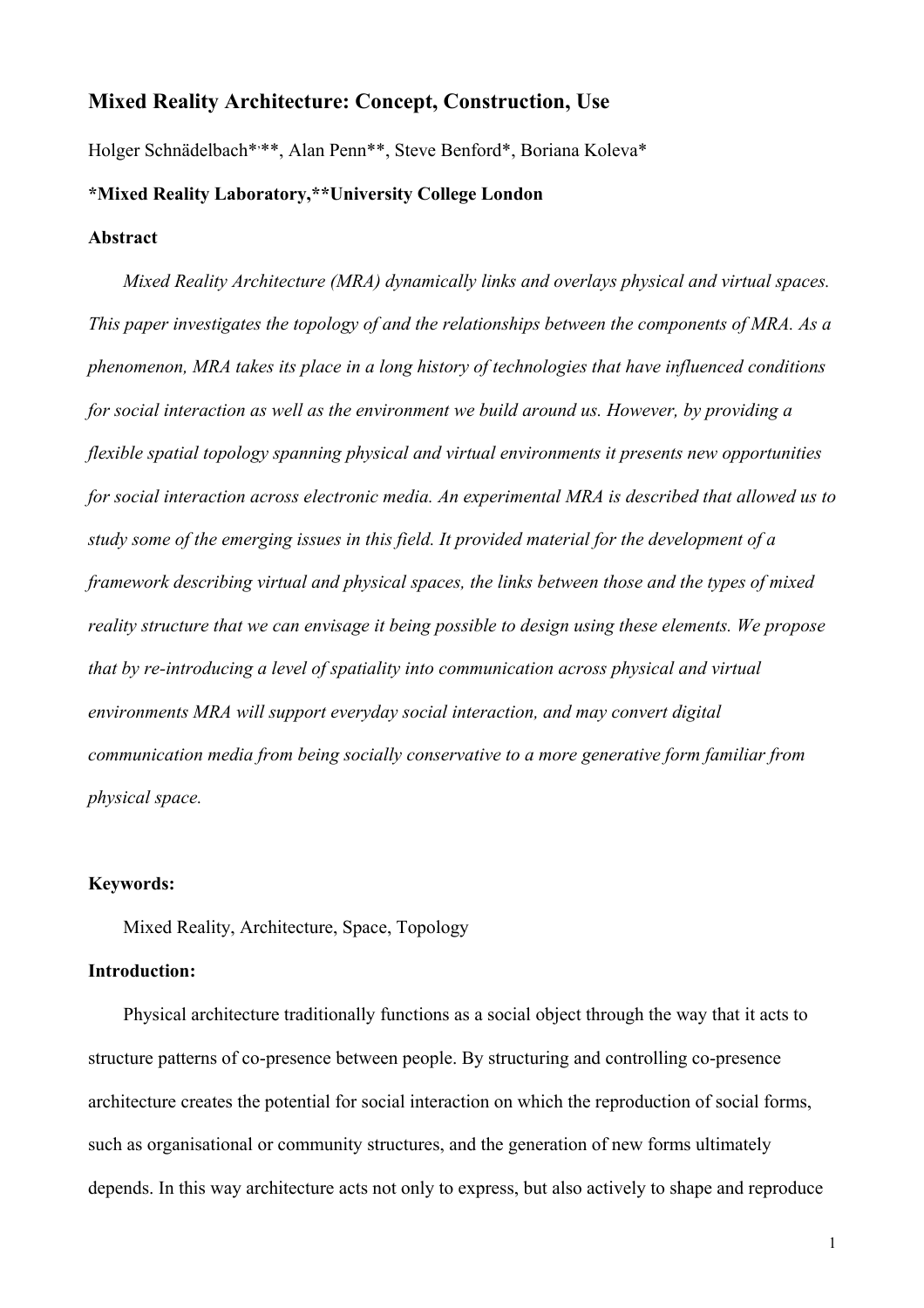# **Mixed Reality Architecture: Concept, Construction, Use**

Holger Schnädelbach\*\*\*\*, Alan Penn\*\*, Steve Benford\*, Boriana Koleva\*

## **\*Mixed Reality Laboratory,\*\*University College London**

## **Abstract**

*Mixed Reality Architecture (MRA) dynamically links and overlays physical and virtual spaces. This paper investigates the topology of and the relationships between the components of MRA. As a phenomenon, MRA takes its place in a long history of technologies that have influenced conditions for social interaction as well as the environment we build around us. However, by providing a flexible spatial topology spanning physical and virtual environments it presents new opportunities for social interaction across electronic media. An experimental MRA is described that allowed us to study some of the emerging issues in this field. It provided material for the development of a framework describing virtual and physical spaces, the links between those and the types of mixed reality structure that we can envisage it being possible to design using these elements. We propose that by re-introducing a level of spatiality into communication across physical and virtual environments MRA will support everyday social interaction, and may convert digital communication media from being socially conservative to a more generative form familiar from physical space.* 

#### **Keywords:**

Mixed Reality, Architecture, Space, Topology

#### **Introduction:**

Physical architecture traditionally functions as a social object through the way that it acts to structure patterns of co-presence between people. By structuring and controlling co-presence architecture creates the potential for social interaction on which the reproduction of social forms, such as organisational or community structures, and the generation of new forms ultimately depends. In this way architecture acts not only to express, but also actively to shape and reproduce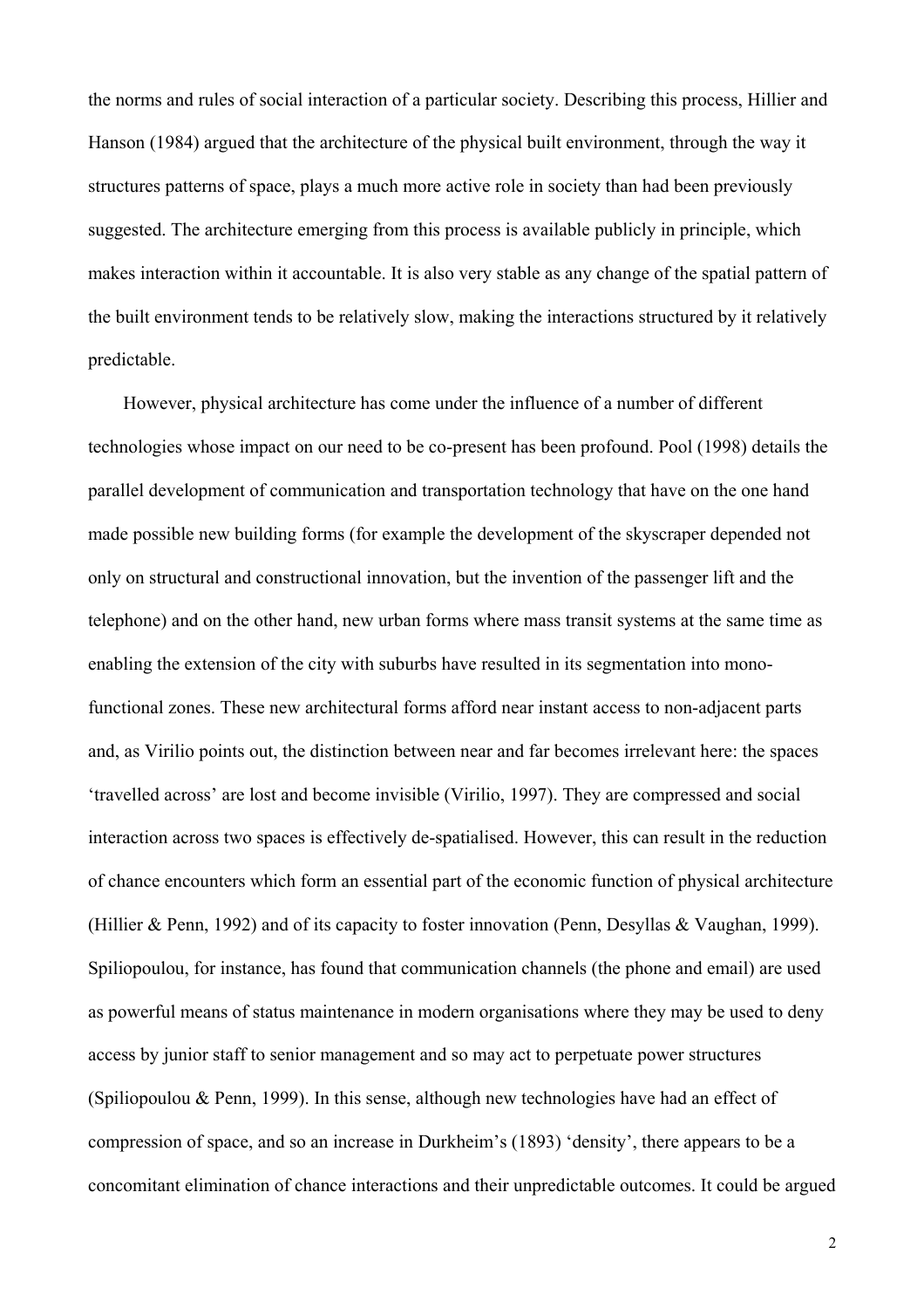the norms and rules of social interaction of a particular society. Describing this process, Hillier and Hanson (1984) argued that the architecture of the physical built environment, through the way it structures patterns of space, plays a much more active role in society than had been previously suggested. The architecture emerging from this process is available publicly in principle, which makes interaction within it accountable. It is also very stable as any change of the spatial pattern of the built environment tends to be relatively slow, making the interactions structured by it relatively predictable.

However, physical architecture has come under the influence of a number of different technologies whose impact on our need to be co-present has been profound. Pool (1998) details the parallel development of communication and transportation technology that have on the one hand made possible new building forms (for example the development of the skyscraper depended not only on structural and constructional innovation, but the invention of the passenger lift and the telephone) and on the other hand, new urban forms where mass transit systems at the same time as enabling the extension of the city with suburbs have resulted in its segmentation into monofunctional zones. These new architectural forms afford near instant access to non-adjacent parts and, as Virilio points out, the distinction between near and far becomes irrelevant here: the spaces 'travelled across' are lost and become invisible (Virilio, 1997). They are compressed and social interaction across two spaces is effectively de-spatialised. However, this can result in the reduction of chance encounters which form an essential part of the economic function of physical architecture (Hillier & Penn, 1992) and of its capacity to foster innovation (Penn, Desyllas & Vaughan, 1999). Spiliopoulou, for instance, has found that communication channels (the phone and email) are used as powerful means of status maintenance in modern organisations where they may be used to deny access by junior staff to senior management and so may act to perpetuate power structures (Spiliopoulou & Penn, 1999). In this sense, although new technologies have had an effect of compression of space, and so an increase in Durkheim's (1893) 'density', there appears to be a concomitant elimination of chance interactions and their unpredictable outcomes. It could be argued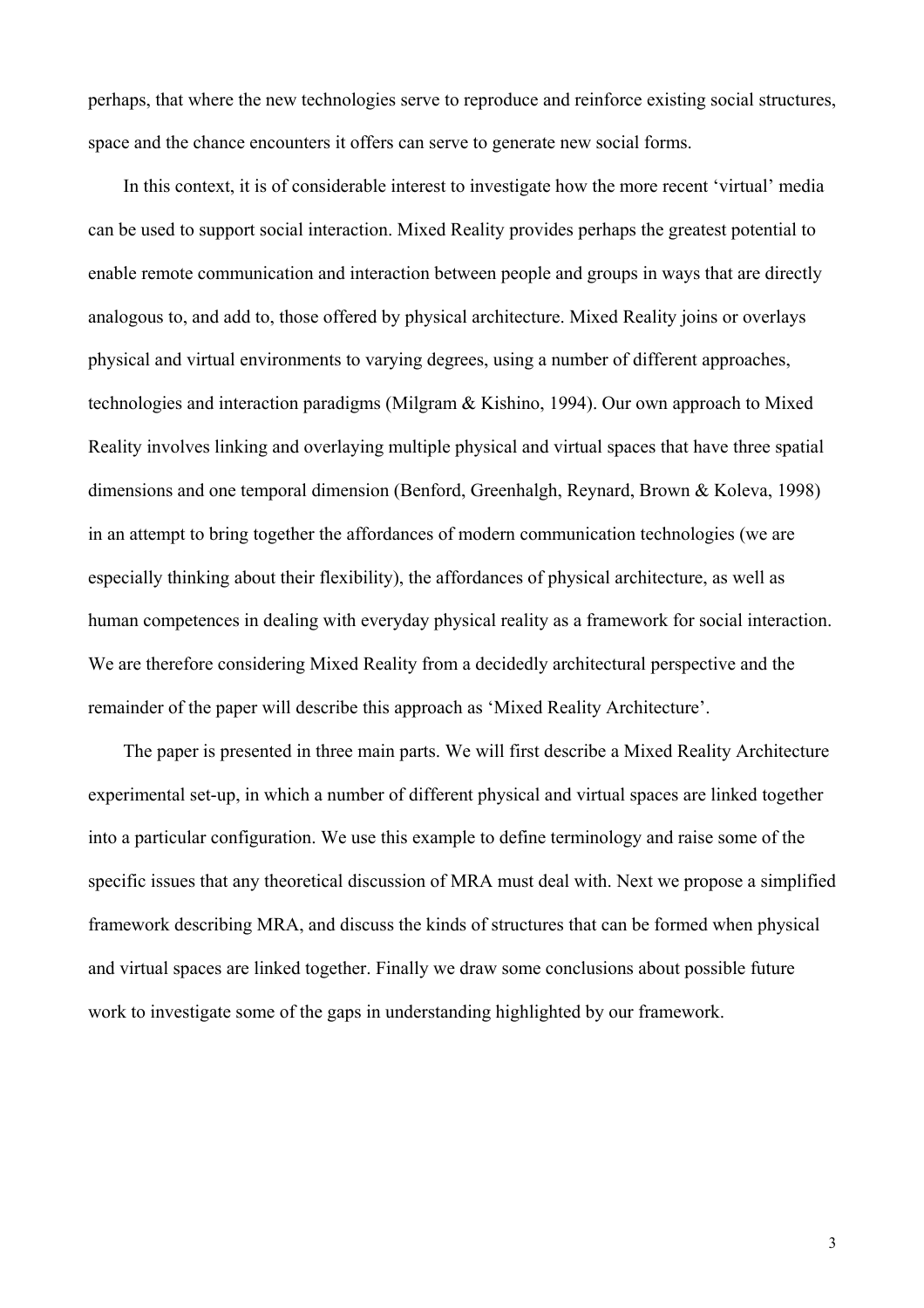perhaps, that where the new technologies serve to reproduce and reinforce existing social structures, space and the chance encounters it offers can serve to generate new social forms.

In this context, it is of considerable interest to investigate how the more recent 'virtual' media can be used to support social interaction. Mixed Reality provides perhaps the greatest potential to enable remote communication and interaction between people and groups in ways that are directly analogous to, and add to, those offered by physical architecture. Mixed Reality joins or overlays physical and virtual environments to varying degrees, using a number of different approaches, technologies and interaction paradigms (Milgram & Kishino, 1994). Our own approach to Mixed Reality involves linking and overlaying multiple physical and virtual spaces that have three spatial dimensions and one temporal dimension (Benford, Greenhalgh, Reynard, Brown & Koleva, 1998) in an attempt to bring together the affordances of modern communication technologies (we are especially thinking about their flexibility), the affordances of physical architecture, as well as human competences in dealing with everyday physical reality as a framework for social interaction. We are therefore considering Mixed Reality from a decidedly architectural perspective and the remainder of the paper will describe this approach as 'Mixed Reality Architecture'.

The paper is presented in three main parts. We will first describe a Mixed Reality Architecture experimental set-up, in which a number of different physical and virtual spaces are linked together into a particular configuration. We use this example to define terminology and raise some of the specific issues that any theoretical discussion of MRA must deal with. Next we propose a simplified framework describing MRA, and discuss the kinds of structures that can be formed when physical and virtual spaces are linked together. Finally we draw some conclusions about possible future work to investigate some of the gaps in understanding highlighted by our framework.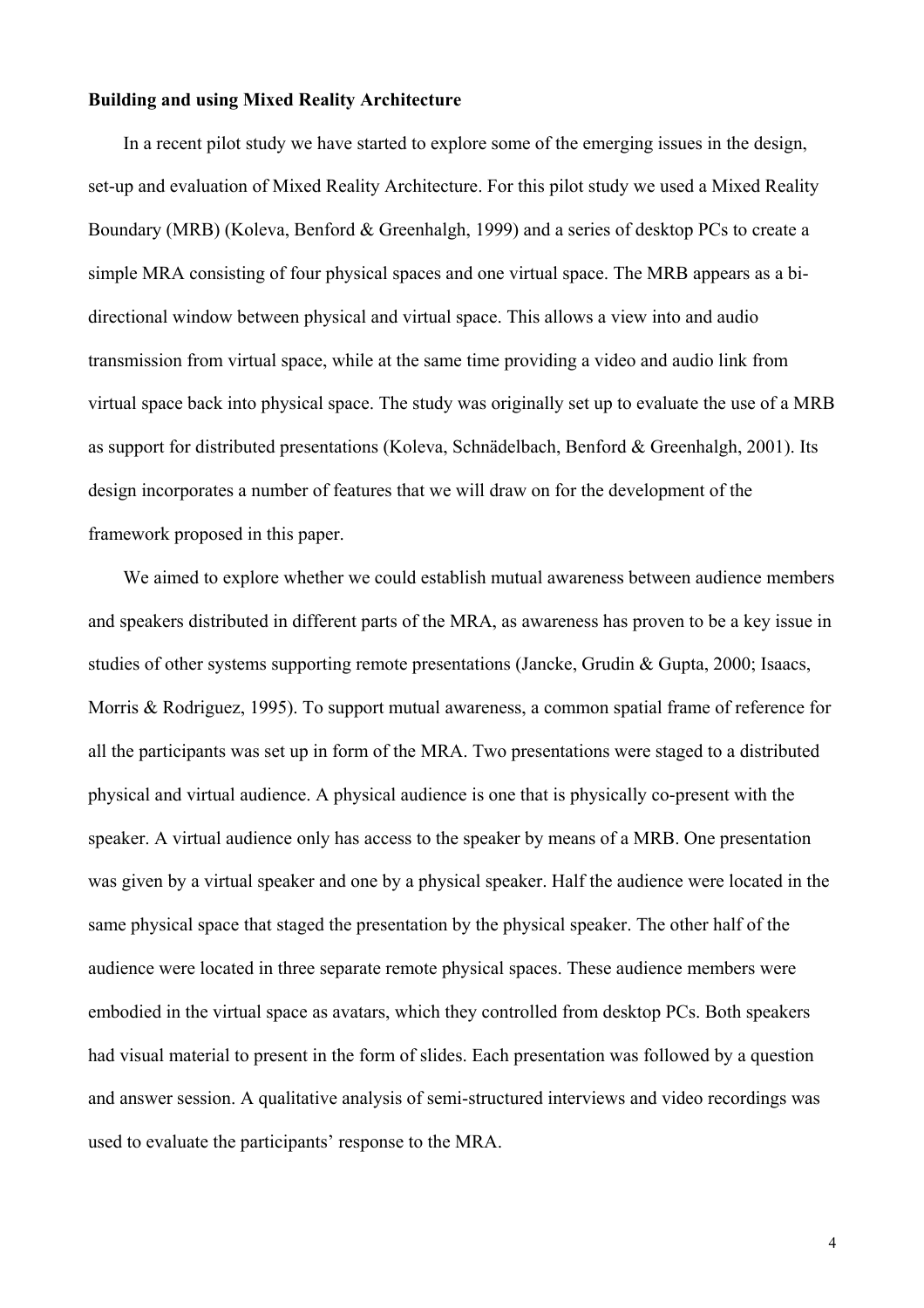### **Building and using Mixed Reality Architecture**

In a recent pilot study we have started to explore some of the emerging issues in the design, set-up and evaluation of Mixed Reality Architecture. For this pilot study we used a Mixed Reality Boundary (MRB) (Koleva, Benford & Greenhalgh, 1999) and a series of desktop PCs to create a simple MRA consisting of four physical spaces and one virtual space. The MRB appears as a bidirectional window between physical and virtual space. This allows a view into and audio transmission from virtual space, while at the same time providing a video and audio link from virtual space back into physical space. The study was originally set up to evaluate the use of a MRB as support for distributed presentations (Koleva, Schnädelbach, Benford & Greenhalgh, 2001). Its design incorporates a number of features that we will draw on for the development of the framework proposed in this paper.

We aimed to explore whether we could establish mutual awareness between audience members and speakers distributed in different parts of the MRA, as awareness has proven to be a key issue in studies of other systems supporting remote presentations (Jancke, Grudin & Gupta, 2000; Isaacs, Morris & Rodriguez, 1995). To support mutual awareness, a common spatial frame of reference for all the participants was set up in form of the MRA. Two presentations were staged to a distributed physical and virtual audience. A physical audience is one that is physically co-present with the speaker. A virtual audience only has access to the speaker by means of a MRB. One presentation was given by a virtual speaker and one by a physical speaker. Half the audience were located in the same physical space that staged the presentation by the physical speaker. The other half of the audience were located in three separate remote physical spaces. These audience members were embodied in the virtual space as avatars, which they controlled from desktop PCs. Both speakers had visual material to present in the form of slides. Each presentation was followed by a question and answer session. A qualitative analysis of semi-structured interviews and video recordings was used to evaluate the participants' response to the MRA.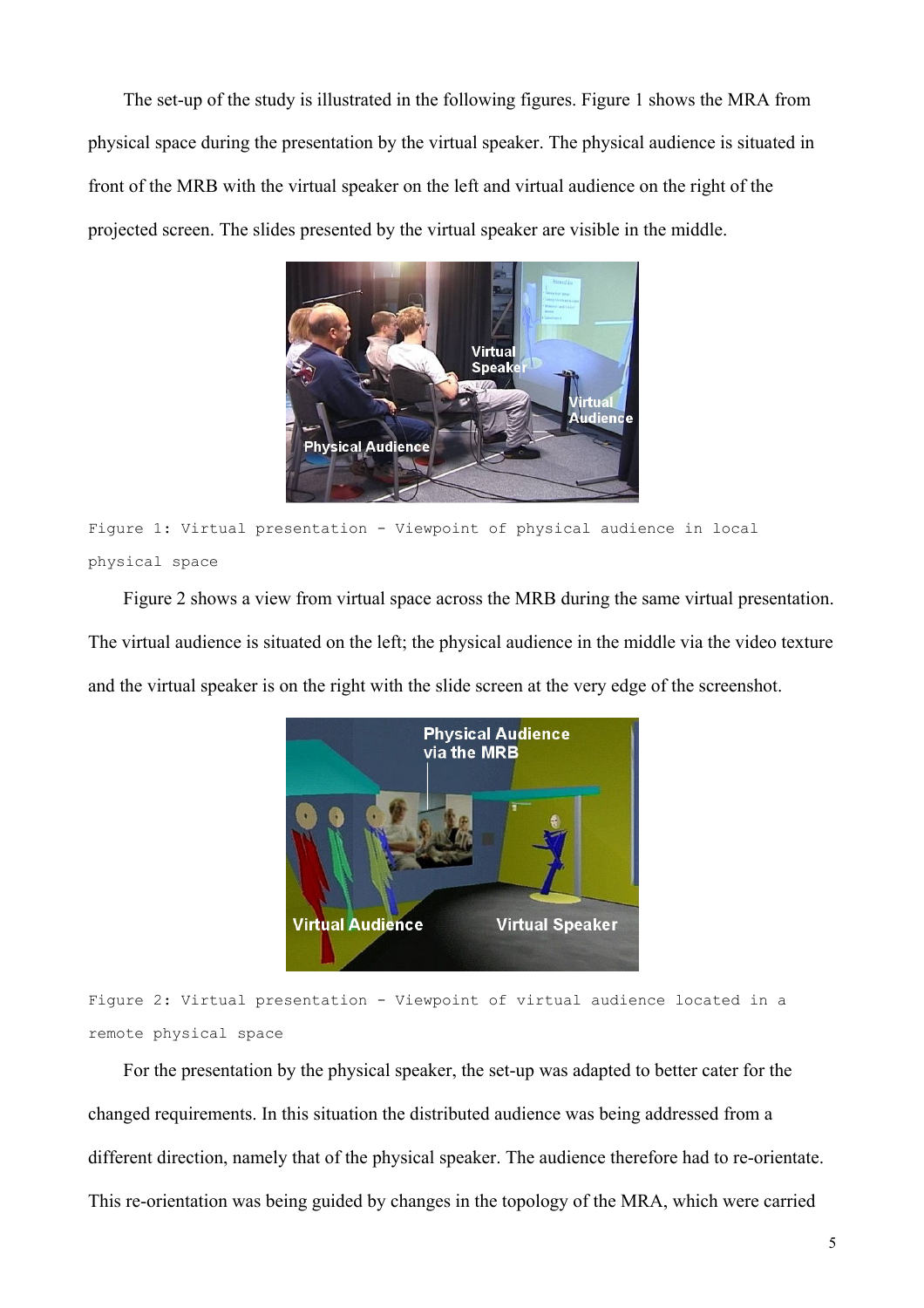The set-up of the study is illustrated in the following figures. Figure 1 shows the MRA from physical space during the presentation by the virtual speaker. The physical audience is situated in front of the MRB with the virtual speaker on the left and virtual audience on the right of the projected screen. The slides presented by the virtual speaker are visible in the middle.



Figure 1: Virtual presentation - Viewpoint of physical audience in local physical space

Figure 2 shows a view from virtual space across the MRB during the same virtual presentation. The virtual audience is situated on the left; the physical audience in the middle via the video texture and the virtual speaker is on the right with the slide screen at the very edge of the screenshot.



Figure 2: Virtual presentation - Viewpoint of virtual audience located in a remote physical space

For the presentation by the physical speaker, the set-up was adapted to better cater for the changed requirements. In this situation the distributed audience was being addressed from a different direction, namely that of the physical speaker. The audience therefore had to re-orientate. This re-orientation was being guided by changes in the topology of the MRA, which were carried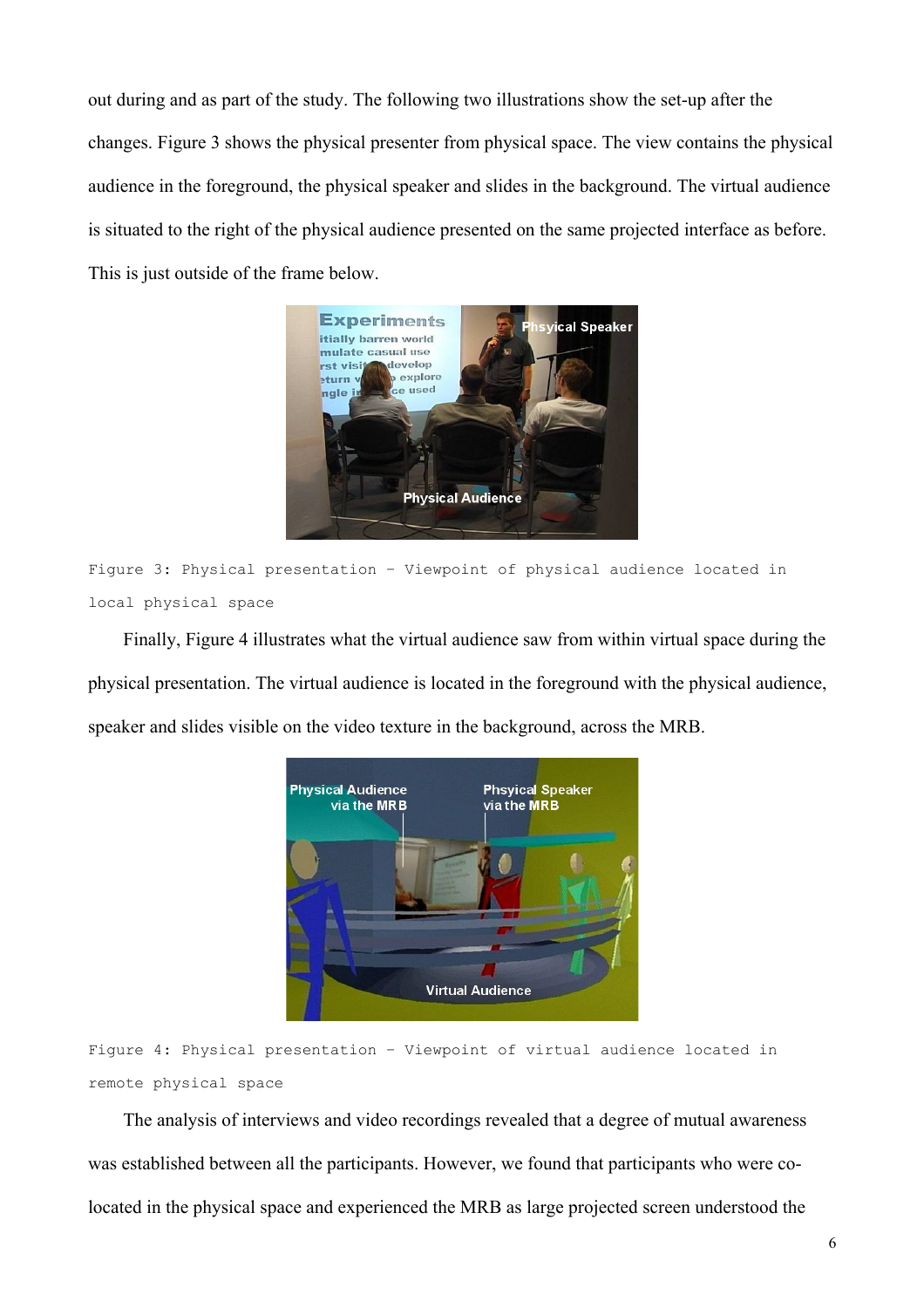out during and as part of the study. The following two illustrations show the set-up after the changes. Figure 3 shows the physical presenter from physical space. The view contains the physical audience in the foreground, the physical speaker and slides in the background. The virtual audience is situated to the right of the physical audience presented on the same projected interface as before. This is just outside of the frame below.



```
Figure 3: Physical presentation – Viewpoint of physical audience located in 
local physical space
```
Finally, Figure 4 illustrates what the virtual audience saw from within virtual space during the physical presentation. The virtual audience is located in the foreground with the physical audience, speaker and slides visible on the video texture in the background, across the MRB.



Figure 4: Physical presentation – Viewpoint of virtual audience located in remote physical space

The analysis of interviews and video recordings revealed that a degree of mutual awareness was established between all the participants. However, we found that participants who were colocated in the physical space and experienced the MRB as large projected screen understood the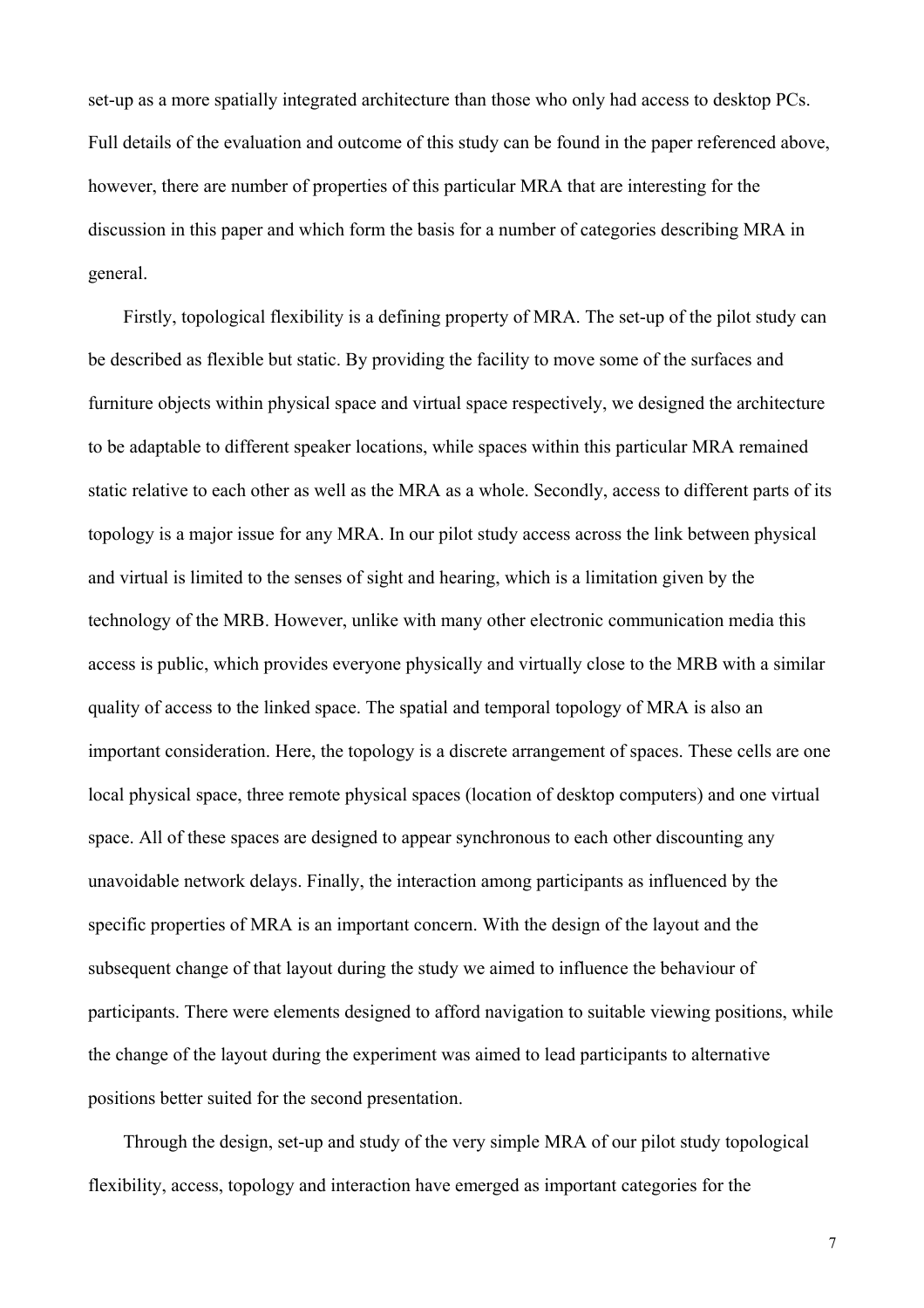set-up as a more spatially integrated architecture than those who only had access to desktop PCs. Full details of the evaluation and outcome of this study can be found in the paper referenced above, however, there are number of properties of this particular MRA that are interesting for the discussion in this paper and which form the basis for a number of categories describing MRA in general.

Firstly, topological flexibility is a defining property of MRA. The set-up of the pilot study can be described as flexible but static. By providing the facility to move some of the surfaces and furniture objects within physical space and virtual space respectively, we designed the architecture to be adaptable to different speaker locations, while spaces within this particular MRA remained static relative to each other as well as the MRA as a whole. Secondly, access to different parts of its topology is a major issue for any MRA. In our pilot study access across the link between physical and virtual is limited to the senses of sight and hearing, which is a limitation given by the technology of the MRB. However, unlike with many other electronic communication media this access is public, which provides everyone physically and virtually close to the MRB with a similar quality of access to the linked space. The spatial and temporal topology of MRA is also an important consideration. Here, the topology is a discrete arrangement of spaces. These cells are one local physical space, three remote physical spaces (location of desktop computers) and one virtual space. All of these spaces are designed to appear synchronous to each other discounting any unavoidable network delays. Finally, the interaction among participants as influenced by the specific properties of MRA is an important concern. With the design of the layout and the subsequent change of that layout during the study we aimed to influence the behaviour of participants. There were elements designed to afford navigation to suitable viewing positions, while the change of the layout during the experiment was aimed to lead participants to alternative positions better suited for the second presentation.

Through the design, set-up and study of the very simple MRA of our pilot study topological flexibility, access, topology and interaction have emerged as important categories for the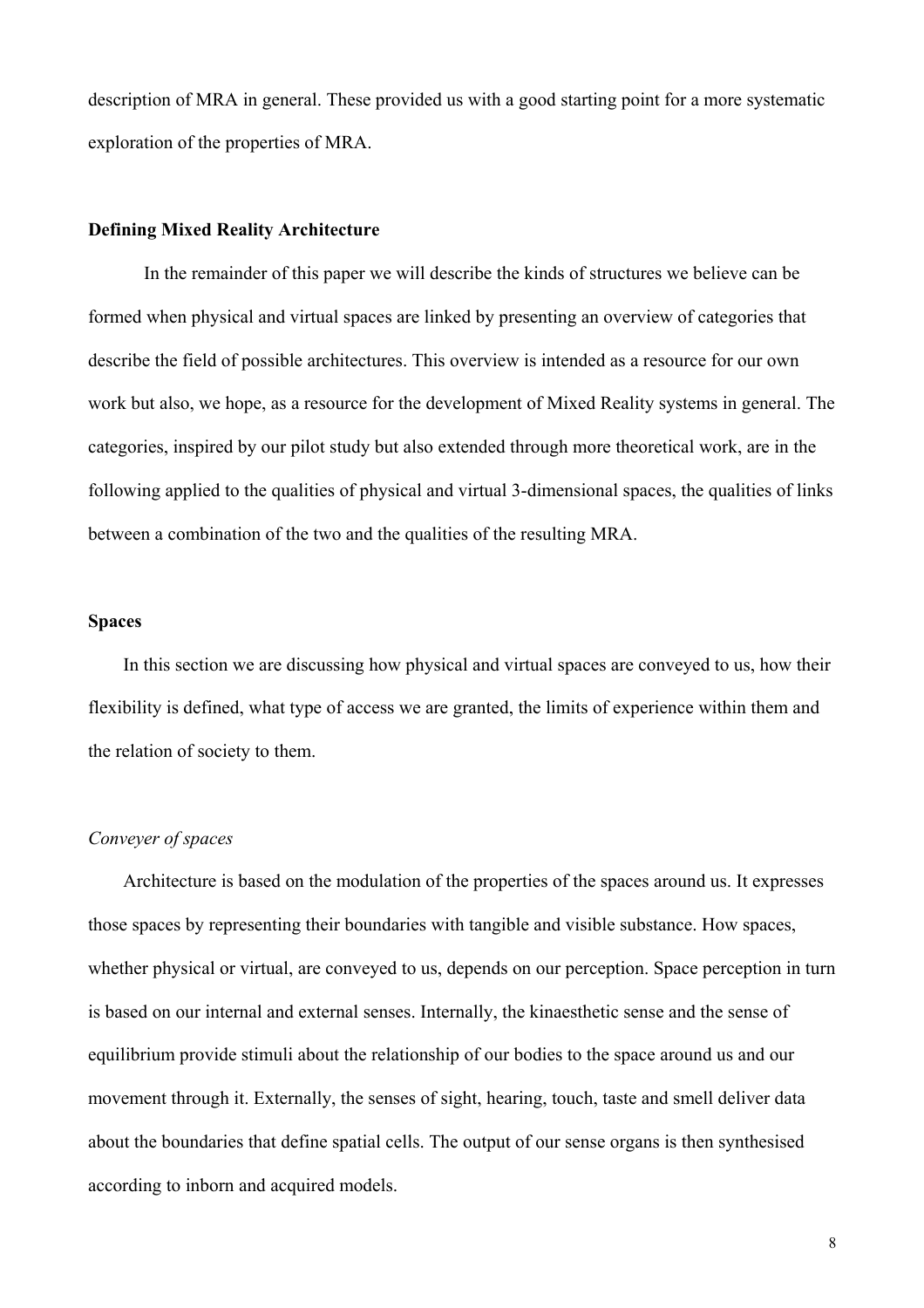description of MRA in general. These provided us with a good starting point for a more systematic exploration of the properties of MRA.

# **Defining Mixed Reality Architecture**

In the remainder of this paper we will describe the kinds of structures we believe can be formed when physical and virtual spaces are linked by presenting an overview of categories that describe the field of possible architectures. This overview is intended as a resource for our own work but also, we hope, as a resource for the development of Mixed Reality systems in general. The categories, inspired by our pilot study but also extended through more theoretical work, are in the following applied to the qualities of physical and virtual 3-dimensional spaces, the qualities of links between a combination of the two and the qualities of the resulting MRA.

## **Spaces**

In this section we are discussing how physical and virtual spaces are conveyed to us, how their flexibility is defined, what type of access we are granted, the limits of experience within them and the relation of society to them.

## *Conveyer of spaces*

Architecture is based on the modulation of the properties of the spaces around us. It expresses those spaces by representing their boundaries with tangible and visible substance. How spaces, whether physical or virtual, are conveyed to us, depends on our perception. Space perception in turn is based on our internal and external senses. Internally, the kinaesthetic sense and the sense of equilibrium provide stimuli about the relationship of our bodies to the space around us and our movement through it. Externally, the senses of sight, hearing, touch, taste and smell deliver data about the boundaries that define spatial cells. The output of our sense organs is then synthesised according to inborn and acquired models.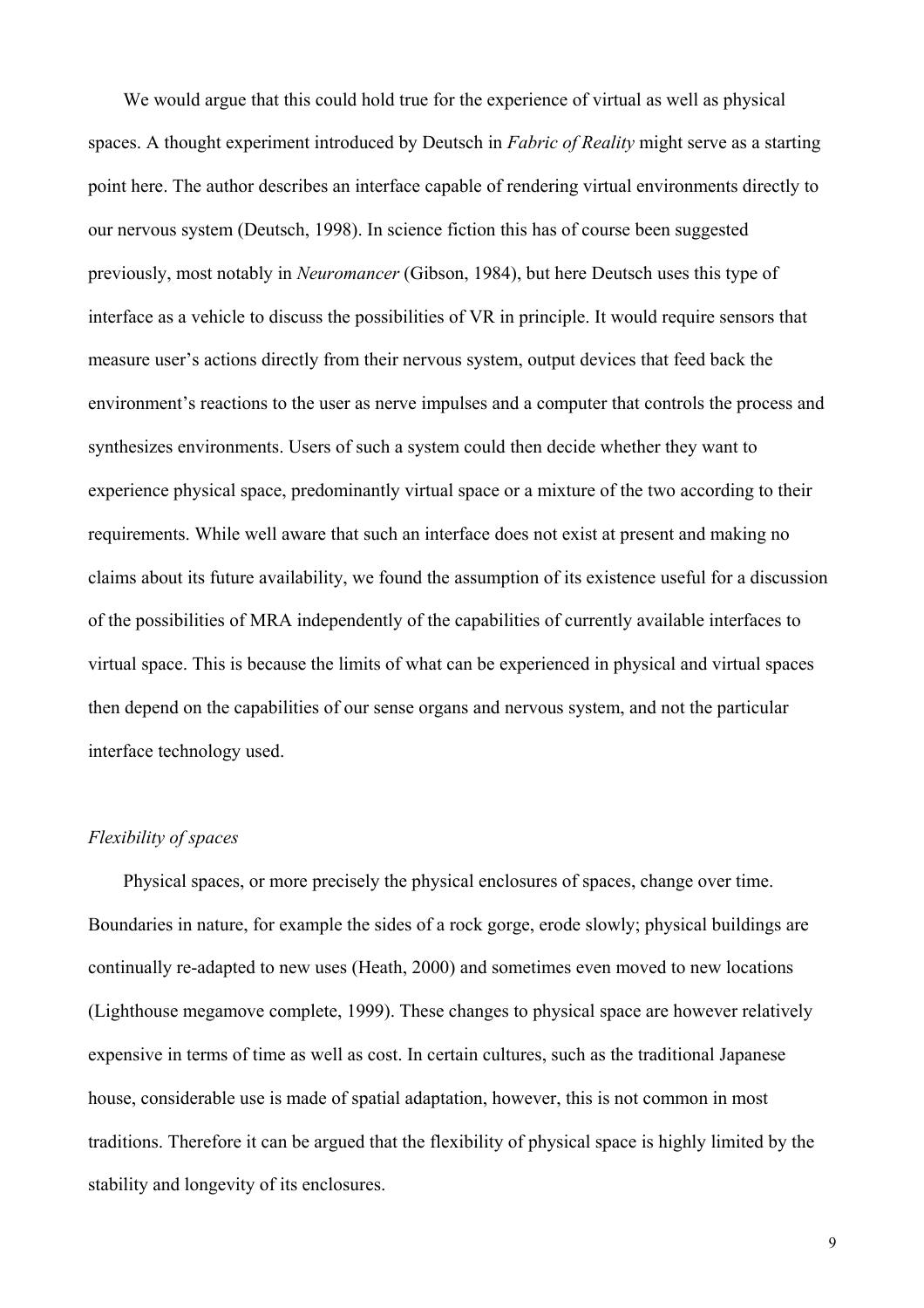We would argue that this could hold true for the experience of virtual as well as physical spaces. A thought experiment introduced by Deutsch in *Fabric of Reality* might serve as a starting point here. The author describes an interface capable of rendering virtual environments directly to our nervous system (Deutsch, 1998). In science fiction this has of course been suggested previously, most notably in *Neuromancer* (Gibson, 1984), but here Deutsch uses this type of interface as a vehicle to discuss the possibilities of VR in principle. It would require sensors that measure user's actions directly from their nervous system, output devices that feed back the environment's reactions to the user as nerve impulses and a computer that controls the process and synthesizes environments. Users of such a system could then decide whether they want to experience physical space, predominantly virtual space or a mixture of the two according to their requirements. While well aware that such an interface does not exist at present and making no claims about its future availability, we found the assumption of its existence useful for a discussion of the possibilities of MRA independently of the capabilities of currently available interfaces to virtual space. This is because the limits of what can be experienced in physical and virtual spaces then depend on the capabilities of our sense organs and nervous system, and not the particular interface technology used.

## *Flexibility of spaces*

Physical spaces, or more precisely the physical enclosures of spaces, change over time. Boundaries in nature, for example the sides of a rock gorge, erode slowly; physical buildings are continually re-adapted to new uses (Heath, 2000) and sometimes even moved to new locations (Lighthouse megamove complete, 1999). These changes to physical space are however relatively expensive in terms of time as well as cost. In certain cultures, such as the traditional Japanese house, considerable use is made of spatial adaptation, however, this is not common in most traditions. Therefore it can be argued that the flexibility of physical space is highly limited by the stability and longevity of its enclosures.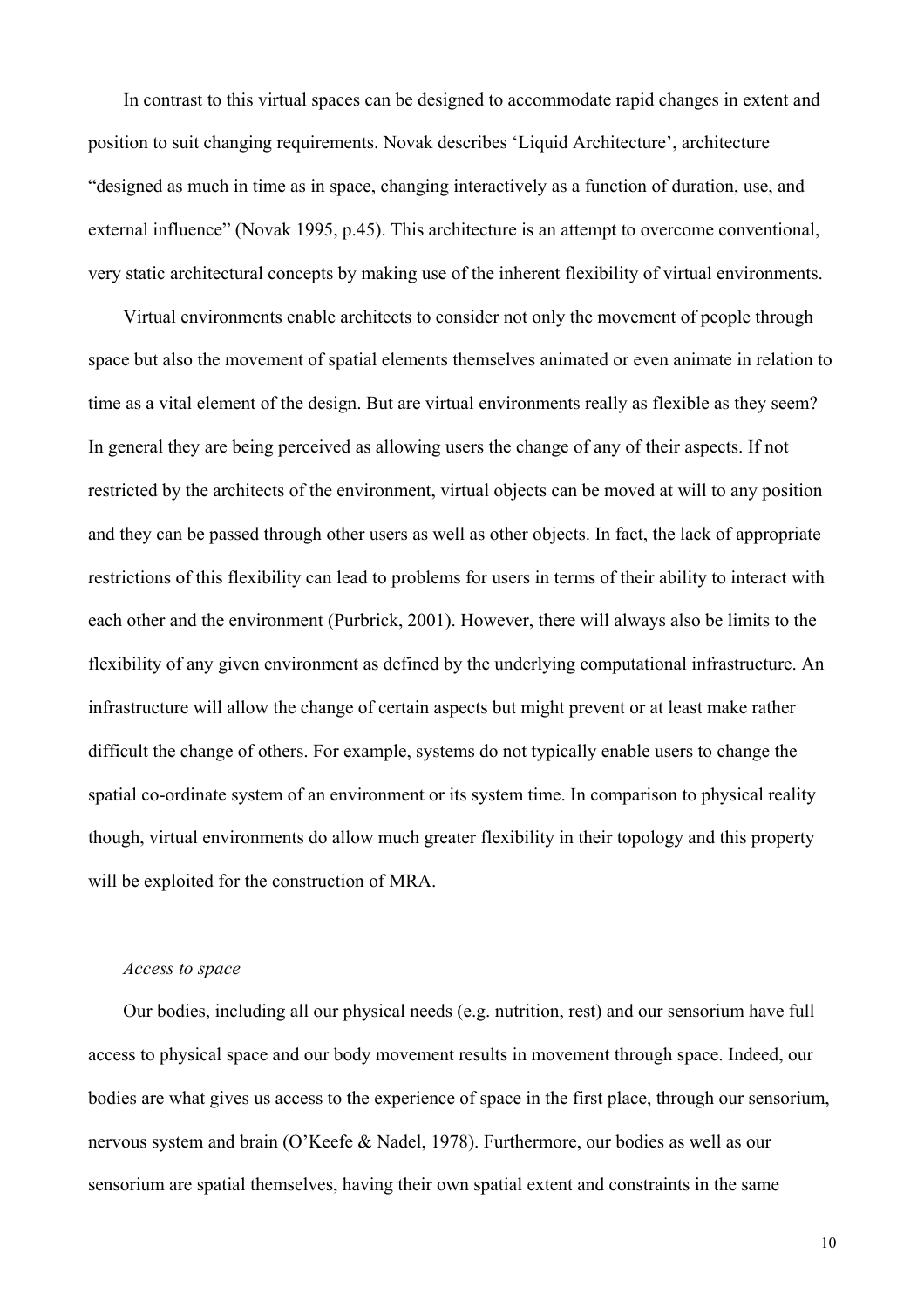In contrast to this virtual spaces can be designed to accommodate rapid changes in extent and position to suit changing requirements. Novak describes 'Liquid Architecture', architecture "designed as much in time as in space, changing interactively as a function of duration, use, and external influence" (Novak 1995, p.45). This architecture is an attempt to overcome conventional, very static architectural concepts by making use of the inherent flexibility of virtual environments.

Virtual environments enable architects to consider not only the movement of people through space but also the movement of spatial elements themselves animated or even animate in relation to time as a vital element of the design. But are virtual environments really as flexible as they seem? In general they are being perceived as allowing users the change of any of their aspects. If not restricted by the architects of the environment, virtual objects can be moved at will to any position and they can be passed through other users as well as other objects. In fact, the lack of appropriate restrictions of this flexibility can lead to problems for users in terms of their ability to interact with each other and the environment (Purbrick, 2001). However, there will always also be limits to the flexibility of any given environment as defined by the underlying computational infrastructure. An infrastructure will allow the change of certain aspects but might prevent or at least make rather difficult the change of others. For example, systems do not typically enable users to change the spatial co-ordinate system of an environment or its system time. In comparison to physical reality though, virtual environments do allow much greater flexibility in their topology and this property will be exploited for the construction of MRA.

### *Access to space*

Our bodies, including all our physical needs (e.g. nutrition, rest) and our sensorium have full access to physical space and our body movement results in movement through space. Indeed, our bodies are what gives us access to the experience of space in the first place, through our sensorium, nervous system and brain (O'Keefe & Nadel, 1978). Furthermore, our bodies as well as our sensorium are spatial themselves, having their own spatial extent and constraints in the same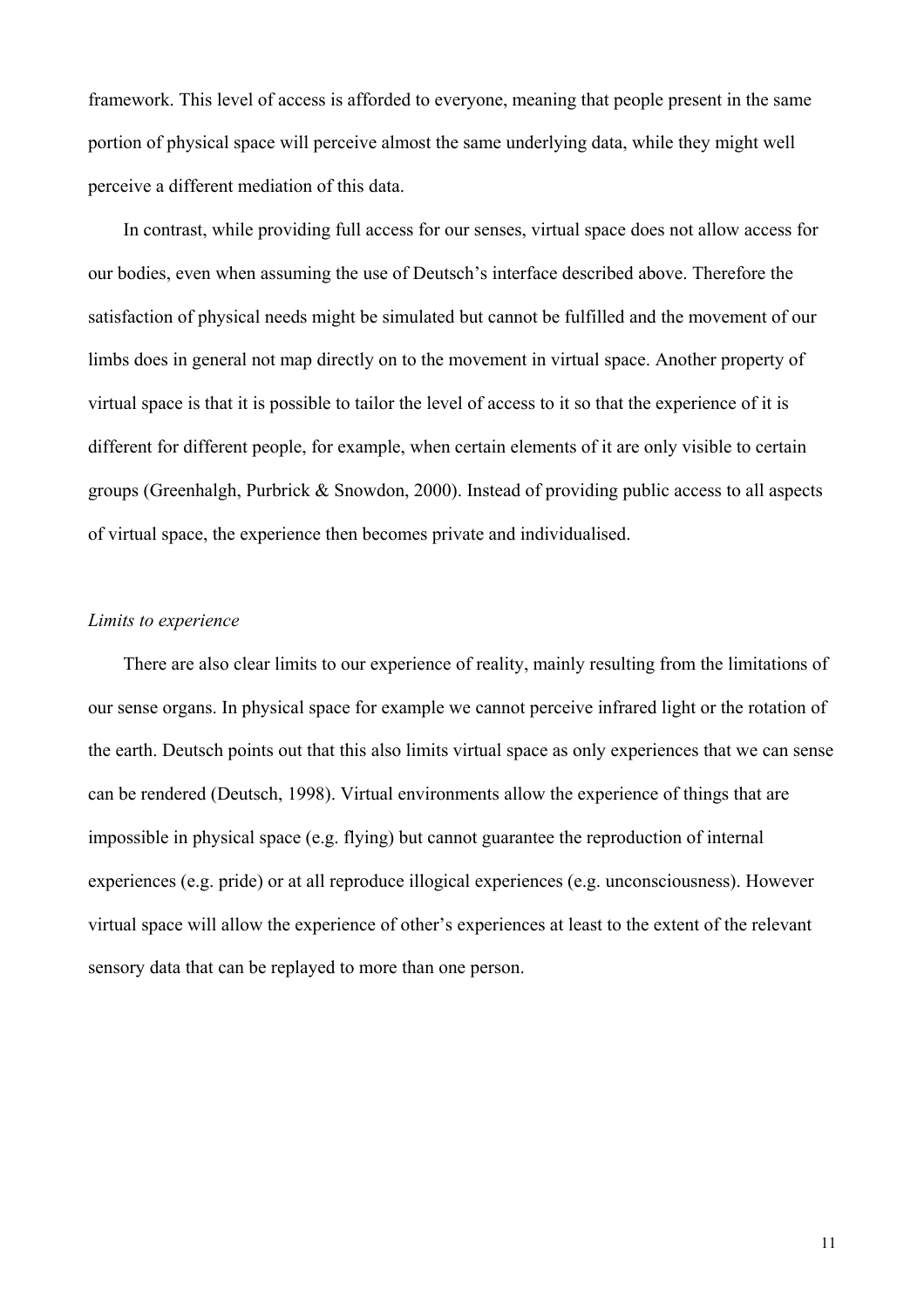framework. This level of access is afforded to everyone, meaning that people present in the same portion of physical space will perceive almost the same underlying data, while they might well perceive a different mediation of this data.

In contrast, while providing full access for our senses, virtual space does not allow access for our bodies, even when assuming the use of Deutsch's interface described above. Therefore the satisfaction of physical needs might be simulated but cannot be fulfilled and the movement of our limbs does in general not map directly on to the movement in virtual space. Another property of virtual space is that it is possible to tailor the level of access to it so that the experience of it is different for different people, for example, when certain elements of it are only visible to certain groups (Greenhalgh, Purbrick & Snowdon, 2000). Instead of providing public access to all aspects of virtual space, the experience then becomes private and individualised.

# *Limits to experience*

There are also clear limits to our experience of reality, mainly resulting from the limitations of our sense organs. In physical space for example we cannot perceive infrared light or the rotation of the earth. Deutsch points out that this also limits virtual space as only experiences that we can sense can be rendered (Deutsch, 1998). Virtual environments allow the experience of things that are impossible in physical space (e.g. flying) but cannot guarantee the reproduction of internal experiences (e.g. pride) or at all reproduce illogical experiences (e.g. unconsciousness). However virtual space will allow the experience of other's experiences at least to the extent of the relevant sensory data that can be replayed to more than one person.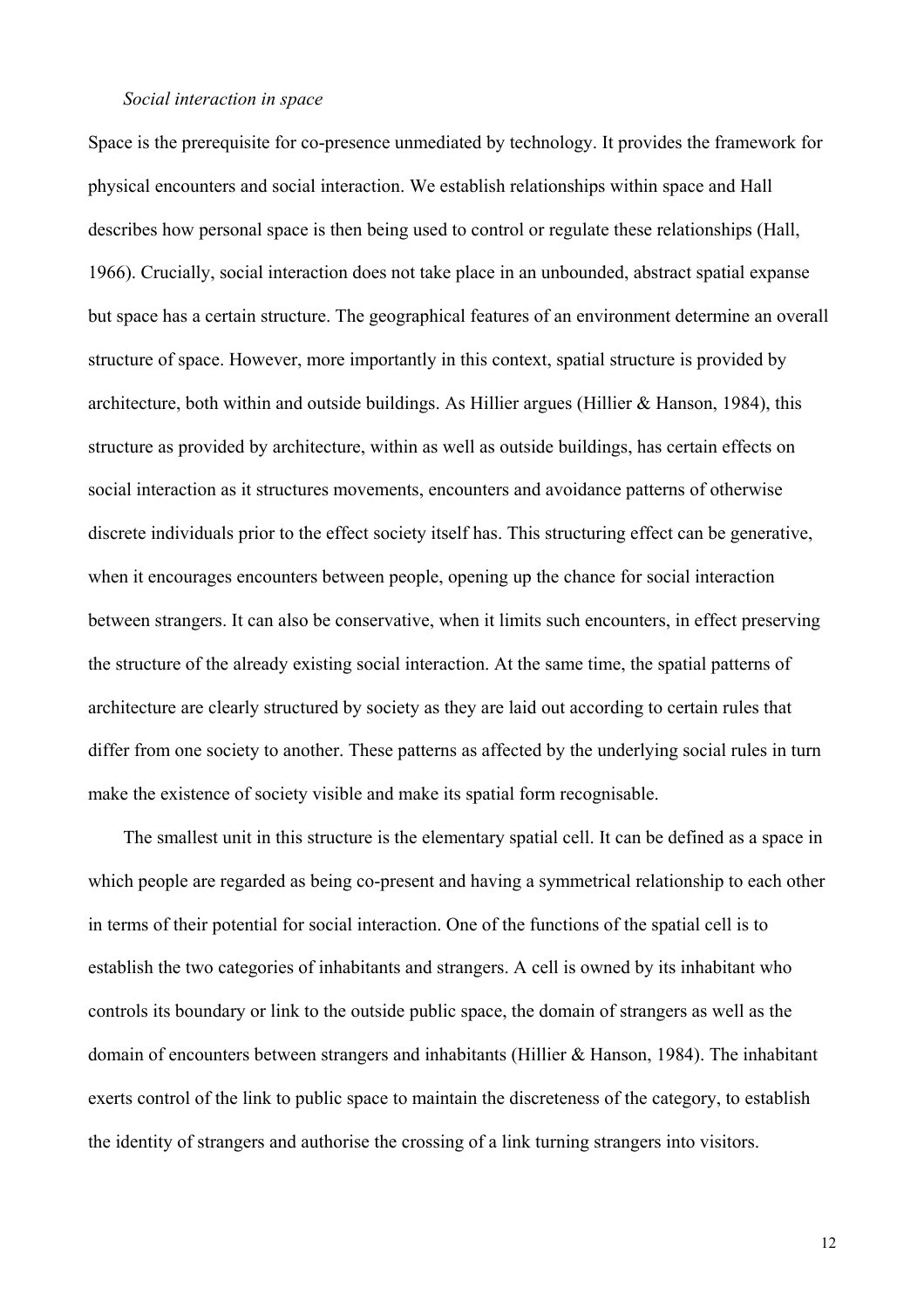#### *Social interaction in space*

Space is the prerequisite for co-presence unmediated by technology. It provides the framework for physical encounters and social interaction. We establish relationships within space and Hall describes how personal space is then being used to control or regulate these relationships (Hall, 1966). Crucially, social interaction does not take place in an unbounded, abstract spatial expanse but space has a certain structure. The geographical features of an environment determine an overall structure of space. However, more importantly in this context, spatial structure is provided by architecture, both within and outside buildings. As Hillier argues (Hillier  $&$  Hanson, 1984), this structure as provided by architecture, within as well as outside buildings, has certain effects on social interaction as it structures movements, encounters and avoidance patterns of otherwise discrete individuals prior to the effect society itself has. This structuring effect can be generative, when it encourages encounters between people, opening up the chance for social interaction between strangers. It can also be conservative, when it limits such encounters, in effect preserving the structure of the already existing social interaction. At the same time, the spatial patterns of architecture are clearly structured by society as they are laid out according to certain rules that differ from one society to another. These patterns as affected by the underlying social rules in turn make the existence of society visible and make its spatial form recognisable.

The smallest unit in this structure is the elementary spatial cell. It can be defined as a space in which people are regarded as being co-present and having a symmetrical relationship to each other in terms of their potential for social interaction. One of the functions of the spatial cell is to establish the two categories of inhabitants and strangers. A cell is owned by its inhabitant who controls its boundary or link to the outside public space, the domain of strangers as well as the domain of encounters between strangers and inhabitants (Hillier & Hanson, 1984). The inhabitant exerts control of the link to public space to maintain the discreteness of the category, to establish the identity of strangers and authorise the crossing of a link turning strangers into visitors.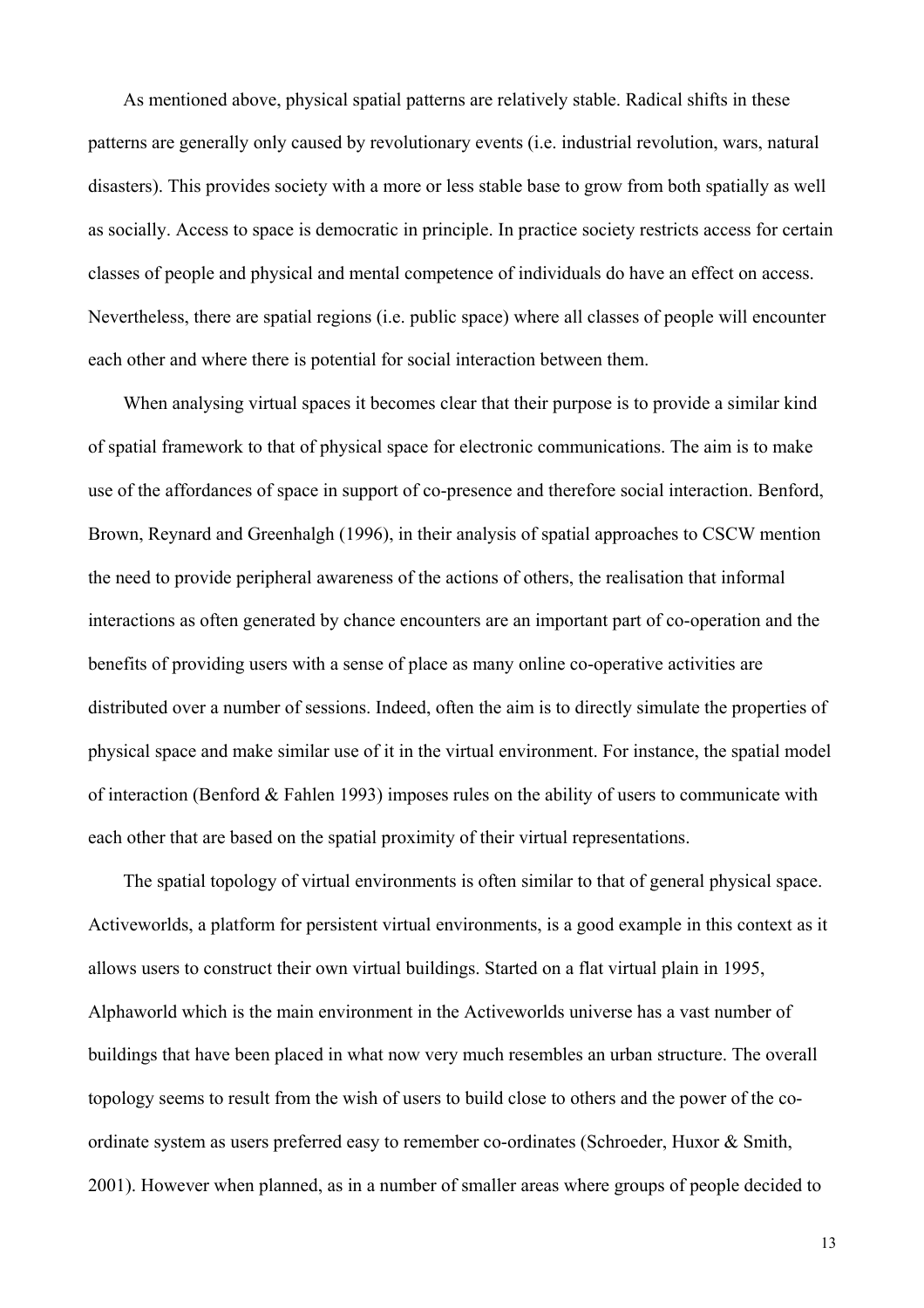As mentioned above, physical spatial patterns are relatively stable. Radical shifts in these patterns are generally only caused by revolutionary events (i.e. industrial revolution, wars, natural disasters). This provides society with a more or less stable base to grow from both spatially as well as socially. Access to space is democratic in principle. In practice society restricts access for certain classes of people and physical and mental competence of individuals do have an effect on access. Nevertheless, there are spatial regions (i.e. public space) where all classes of people will encounter each other and where there is potential for social interaction between them.

When analysing virtual spaces it becomes clear that their purpose is to provide a similar kind of spatial framework to that of physical space for electronic communications. The aim is to make use of the affordances of space in support of co-presence and therefore social interaction. Benford, Brown, Reynard and Greenhalgh (1996), in their analysis of spatial approaches to CSCW mention the need to provide peripheral awareness of the actions of others, the realisation that informal interactions as often generated by chance encounters are an important part of co-operation and the benefits of providing users with a sense of place as many online co-operative activities are distributed over a number of sessions. Indeed, often the aim is to directly simulate the properties of physical space and make similar use of it in the virtual environment. For instance, the spatial model of interaction (Benford & Fahlen 1993) imposes rules on the ability of users to communicate with each other that are based on the spatial proximity of their virtual representations.

The spatial topology of virtual environments is often similar to that of general physical space. Activeworlds, a platform for persistent virtual environments, is a good example in this context as it allows users to construct their own virtual buildings. Started on a flat virtual plain in 1995, Alphaworld which is the main environment in the Activeworlds universe has a vast number of buildings that have been placed in what now very much resembles an urban structure. The overall topology seems to result from the wish of users to build close to others and the power of the coordinate system as users preferred easy to remember co-ordinates (Schroeder, Huxor & Smith, 2001). However when planned, as in a number of smaller areas where groups of people decided to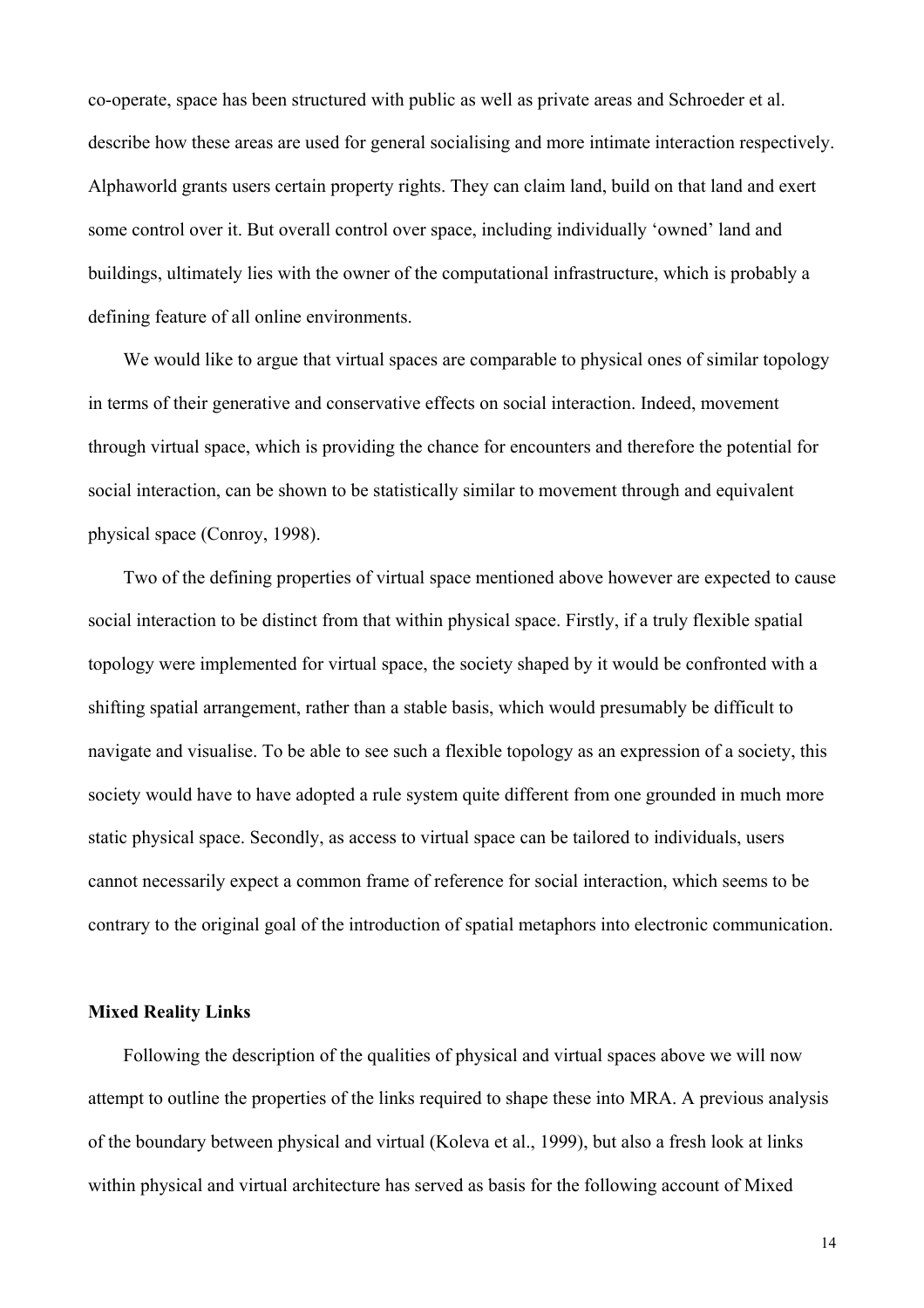co-operate, space has been structured with public as well as private areas and Schroeder et al. describe how these areas are used for general socialising and more intimate interaction respectively. Alphaworld grants users certain property rights. They can claim land, build on that land and exert some control over it. But overall control over space, including individually 'owned' land and buildings, ultimately lies with the owner of the computational infrastructure, which is probably a defining feature of all online environments.

We would like to argue that virtual spaces are comparable to physical ones of similar topology in terms of their generative and conservative effects on social interaction. Indeed, movement through virtual space, which is providing the chance for encounters and therefore the potential for social interaction, can be shown to be statistically similar to movement through and equivalent physical space (Conroy, 1998).

Two of the defining properties of virtual space mentioned above however are expected to cause social interaction to be distinct from that within physical space. Firstly, if a truly flexible spatial topology were implemented for virtual space, the society shaped by it would be confronted with a shifting spatial arrangement, rather than a stable basis, which would presumably be difficult to navigate and visualise. To be able to see such a flexible topology as an expression of a society, this society would have to have adopted a rule system quite different from one grounded in much more static physical space. Secondly, as access to virtual space can be tailored to individuals, users cannot necessarily expect a common frame of reference for social interaction, which seems to be contrary to the original goal of the introduction of spatial metaphors into electronic communication.

### **Mixed Reality Links**

Following the description of the qualities of physical and virtual spaces above we will now attempt to outline the properties of the links required to shape these into MRA. A previous analysis of the boundary between physical and virtual (Koleva et al., 1999), but also a fresh look at links within physical and virtual architecture has served as basis for the following account of Mixed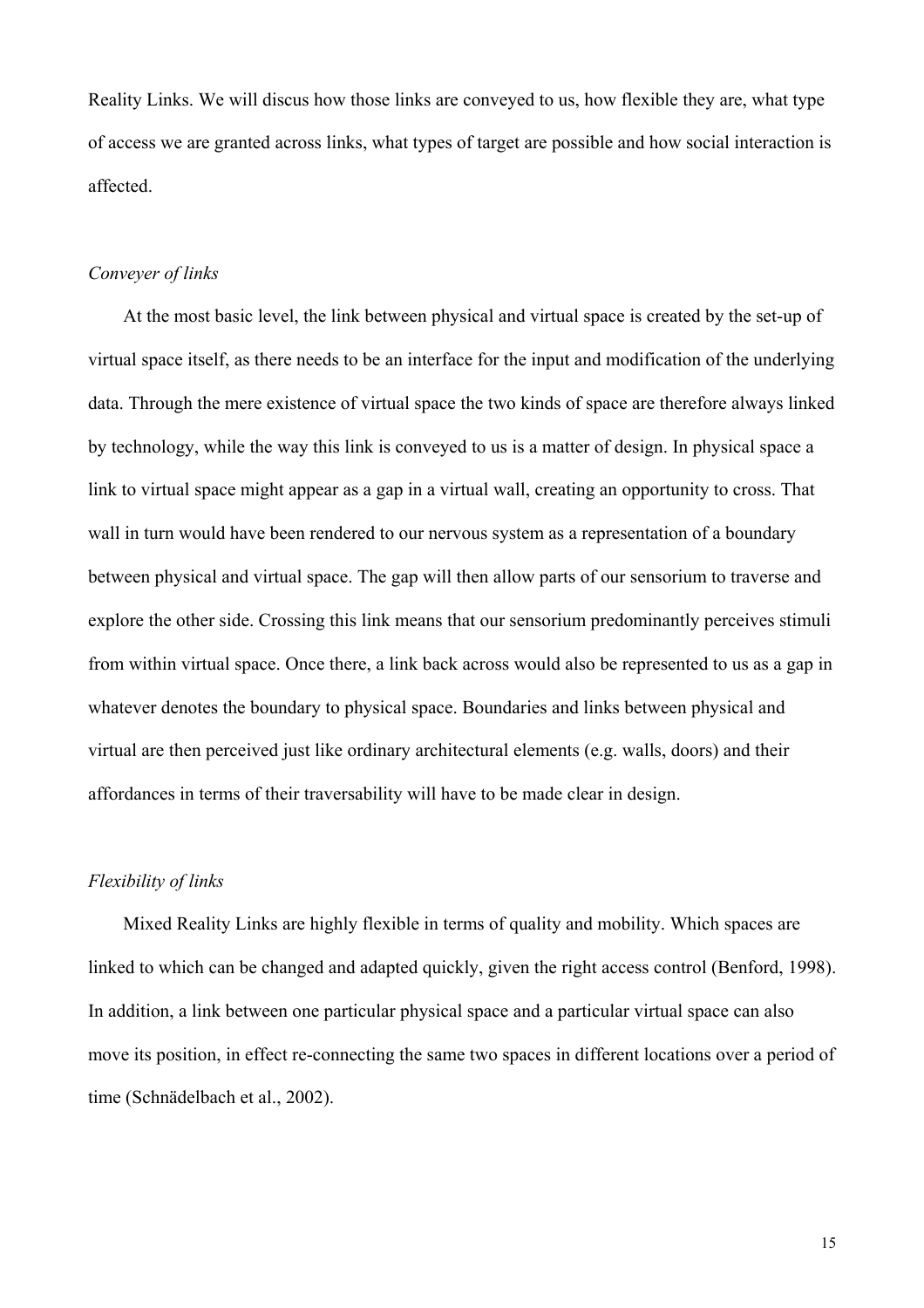Reality Links. We will discus how those links are conveyed to us, how flexible they are, what type of access we are granted across links, what types of target are possible and how social interaction is affected.

## *Conveyer of links*

At the most basic level, the link between physical and virtual space is created by the set-up of virtual space itself, as there needs to be an interface for the input and modification of the underlying data. Through the mere existence of virtual space the two kinds of space are therefore always linked by technology, while the way this link is conveyed to us is a matter of design. In physical space a link to virtual space might appear as a gap in a virtual wall, creating an opportunity to cross. That wall in turn would have been rendered to our nervous system as a representation of a boundary between physical and virtual space. The gap will then allow parts of our sensorium to traverse and explore the other side. Crossing this link means that our sensorium predominantly perceives stimuli from within virtual space. Once there, a link back across would also be represented to us as a gap in whatever denotes the boundary to physical space. Boundaries and links between physical and virtual are then perceived just like ordinary architectural elements (e.g. walls, doors) and their affordances in terms of their traversability will have to be made clear in design.

# *Flexibility of links*

Mixed Reality Links are highly flexible in terms of quality and mobility. Which spaces are linked to which can be changed and adapted quickly, given the right access control (Benford, 1998). In addition, a link between one particular physical space and a particular virtual space can also move its position, in effect re-connecting the same two spaces in different locations over a period of time (Schnädelbach et al., 2002).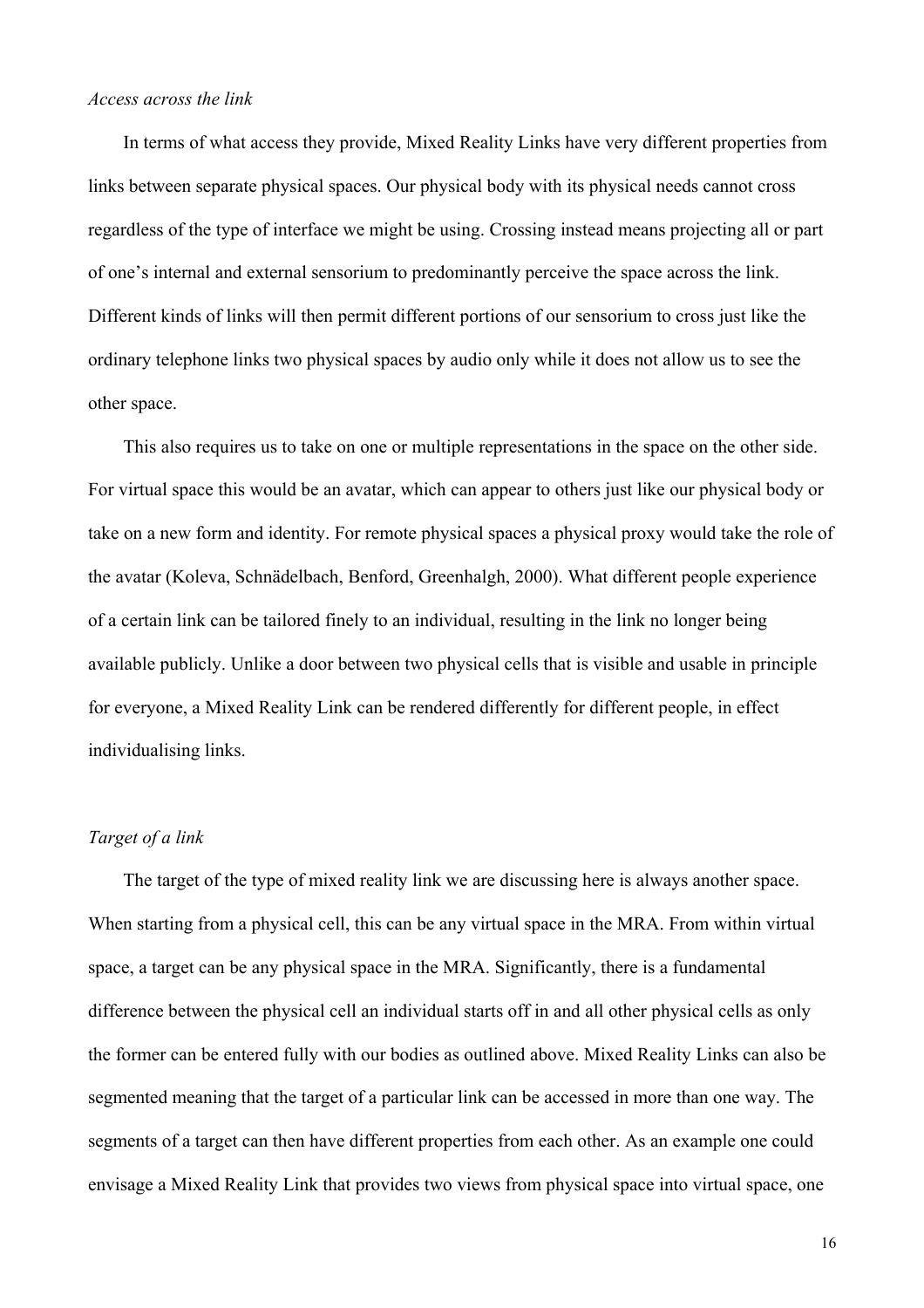#### *Access across the link*

In terms of what access they provide, Mixed Reality Links have very different properties from links between separate physical spaces. Our physical body with its physical needs cannot cross regardless of the type of interface we might be using. Crossing instead means projecting all or part of one's internal and external sensorium to predominantly perceive the space across the link. Different kinds of links will then permit different portions of our sensorium to cross just like the ordinary telephone links two physical spaces by audio only while it does not allow us to see the other space.

This also requires us to take on one or multiple representations in the space on the other side. For virtual space this would be an avatar, which can appear to others just like our physical body or take on a new form and identity. For remote physical spaces a physical proxy would take the role of the avatar (Koleva, Schnädelbach, Benford, Greenhalgh, 2000). What different people experience of a certain link can be tailored finely to an individual, resulting in the link no longer being available publicly. Unlike a door between two physical cells that is visible and usable in principle for everyone, a Mixed Reality Link can be rendered differently for different people, in effect individualising links.

### *Target of a link*

The target of the type of mixed reality link we are discussing here is always another space. When starting from a physical cell, this can be any virtual space in the MRA. From within virtual space, a target can be any physical space in the MRA. Significantly, there is a fundamental difference between the physical cell an individual starts off in and all other physical cells as only the former can be entered fully with our bodies as outlined above. Mixed Reality Links can also be segmented meaning that the target of a particular link can be accessed in more than one way. The segments of a target can then have different properties from each other. As an example one could envisage a Mixed Reality Link that provides two views from physical space into virtual space, one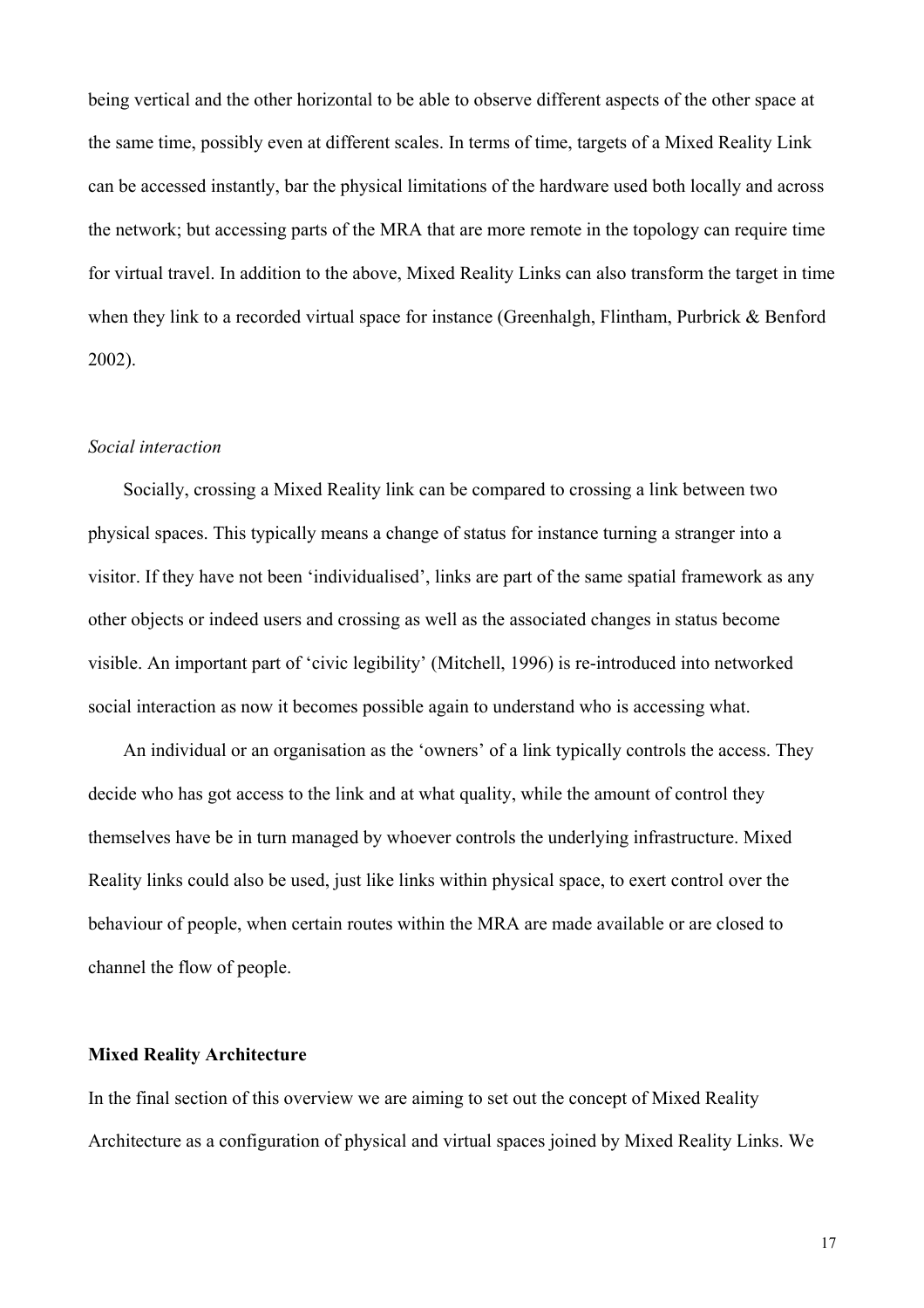being vertical and the other horizontal to be able to observe different aspects of the other space at the same time, possibly even at different scales. In terms of time, targets of a Mixed Reality Link can be accessed instantly, bar the physical limitations of the hardware used both locally and across the network; but accessing parts of the MRA that are more remote in the topology can require time for virtual travel. In addition to the above, Mixed Reality Links can also transform the target in time when they link to a recorded virtual space for instance (Greenhalgh, Flintham, Purbrick & Benford 2002).

#### *Social interaction*

Socially, crossing a Mixed Reality link can be compared to crossing a link between two physical spaces. This typically means a change of status for instance turning a stranger into a visitor. If they have not been 'individualised', links are part of the same spatial framework as any other objects or indeed users and crossing as well as the associated changes in status become visible. An important part of 'civic legibility' (Mitchell, 1996) is re-introduced into networked social interaction as now it becomes possible again to understand who is accessing what.

An individual or an organisation as the 'owners' of a link typically controls the access. They decide who has got access to the link and at what quality, while the amount of control they themselves have be in turn managed by whoever controls the underlying infrastructure. Mixed Reality links could also be used, just like links within physical space, to exert control over the behaviour of people, when certain routes within the MRA are made available or are closed to channel the flow of people.

#### **Mixed Reality Architecture**

In the final section of this overview we are aiming to set out the concept of Mixed Reality Architecture as a configuration of physical and virtual spaces joined by Mixed Reality Links. We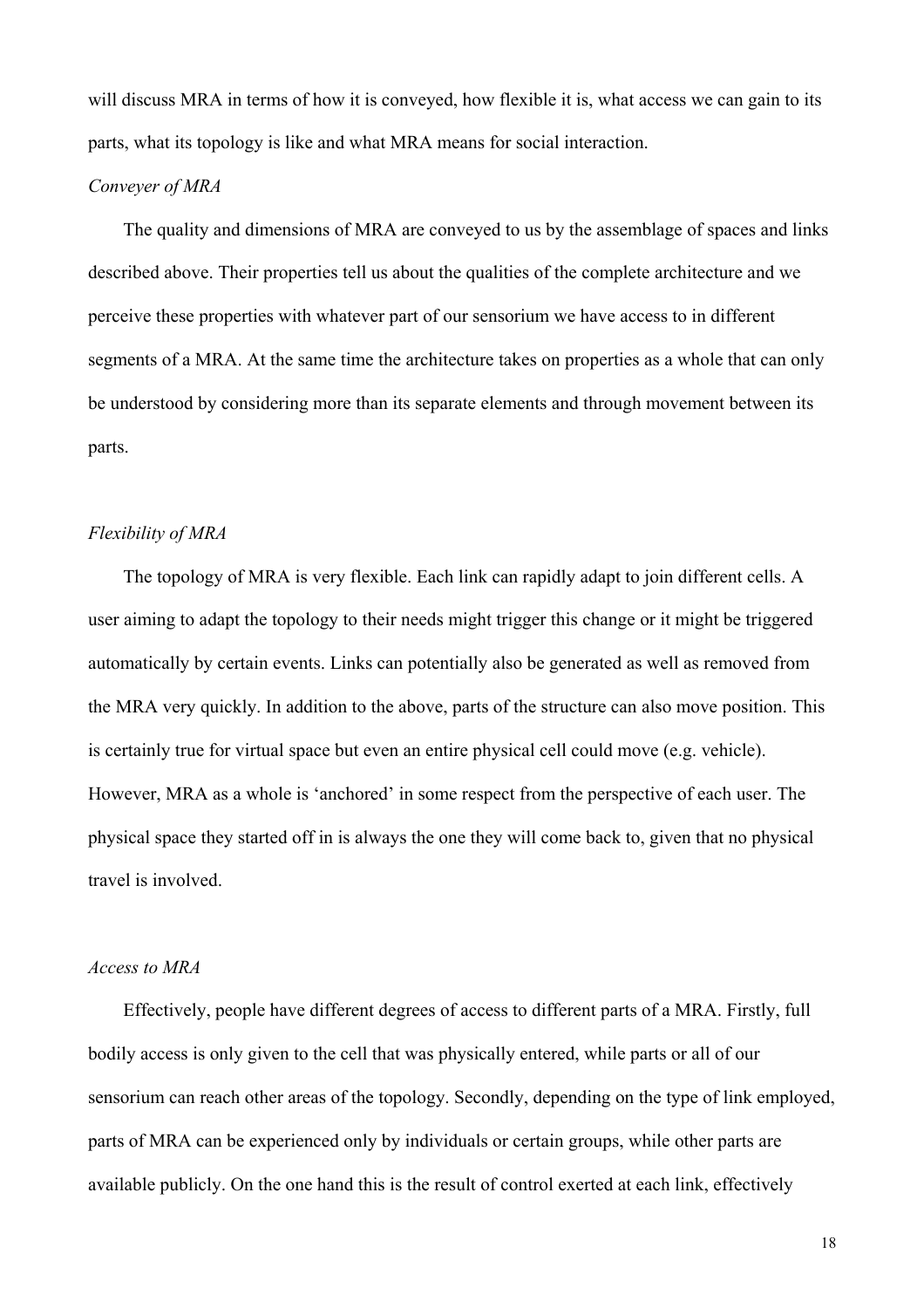will discuss MRA in terms of how it is conveyed, how flexible it is, what access we can gain to its parts, what its topology is like and what MRA means for social interaction.

## *Conveyer of MRA*

The quality and dimensions of MRA are conveyed to us by the assemblage of spaces and links described above. Their properties tell us about the qualities of the complete architecture and we perceive these properties with whatever part of our sensorium we have access to in different segments of a MRA. At the same time the architecture takes on properties as a whole that can only be understood by considering more than its separate elements and through movement between its parts.

### *Flexibility of MRA*

The topology of MRA is very flexible. Each link can rapidly adapt to join different cells. A user aiming to adapt the topology to their needs might trigger this change or it might be triggered automatically by certain events. Links can potentially also be generated as well as removed from the MRA very quickly. In addition to the above, parts of the structure can also move position. This is certainly true for virtual space but even an entire physical cell could move (e.g. vehicle). However, MRA as a whole is 'anchored' in some respect from the perspective of each user. The physical space they started off in is always the one they will come back to, given that no physical travel is involved.

### *Access to MRA*

Effectively, people have different degrees of access to different parts of a MRA. Firstly, full bodily access is only given to the cell that was physically entered, while parts or all of our sensorium can reach other areas of the topology. Secondly, depending on the type of link employed, parts of MRA can be experienced only by individuals or certain groups, while other parts are available publicly. On the one hand this is the result of control exerted at each link, effectively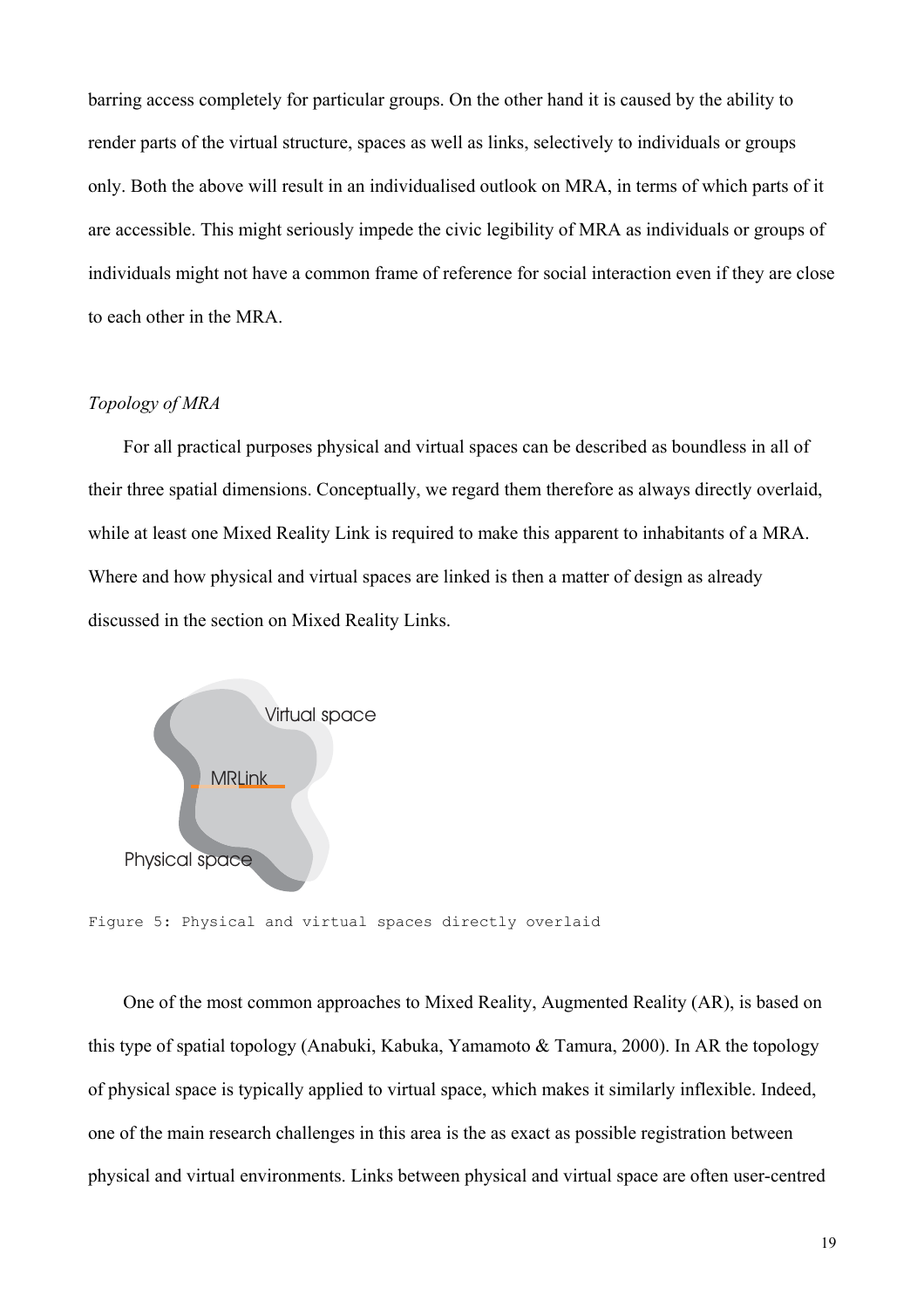barring access completely for particular groups. On the other hand it is caused by the ability to render parts of the virtual structure, spaces as well as links, selectively to individuals or groups only. Both the above will result in an individualised outlook on MRA, in terms of which parts of it are accessible. This might seriously impede the civic legibility of MRA as individuals or groups of individuals might not have a common frame of reference for social interaction even if they are close to each other in the MRA.

# *Topology of MRA*

For all practical purposes physical and virtual spaces can be described as boundless in all of their three spatial dimensions. Conceptually, we regard them therefore as always directly overlaid, while at least one Mixed Reality Link is required to make this apparent to inhabitants of a MRA. Where and how physical and virtual spaces are linked is then a matter of design as already discussed in the section on Mixed Reality Links.



Figure 5: Physical and virtual spaces directly overlaid

One of the most common approaches to Mixed Reality, Augmented Reality (AR), is based on this type of spatial topology (Anabuki, Kabuka, Yamamoto & Tamura, 2000). In AR the topology of physical space is typically applied to virtual space, which makes it similarly inflexible. Indeed, one of the main research challenges in this area is the as exact as possible registration between physical and virtual environments. Links between physical and virtual space are often user-centred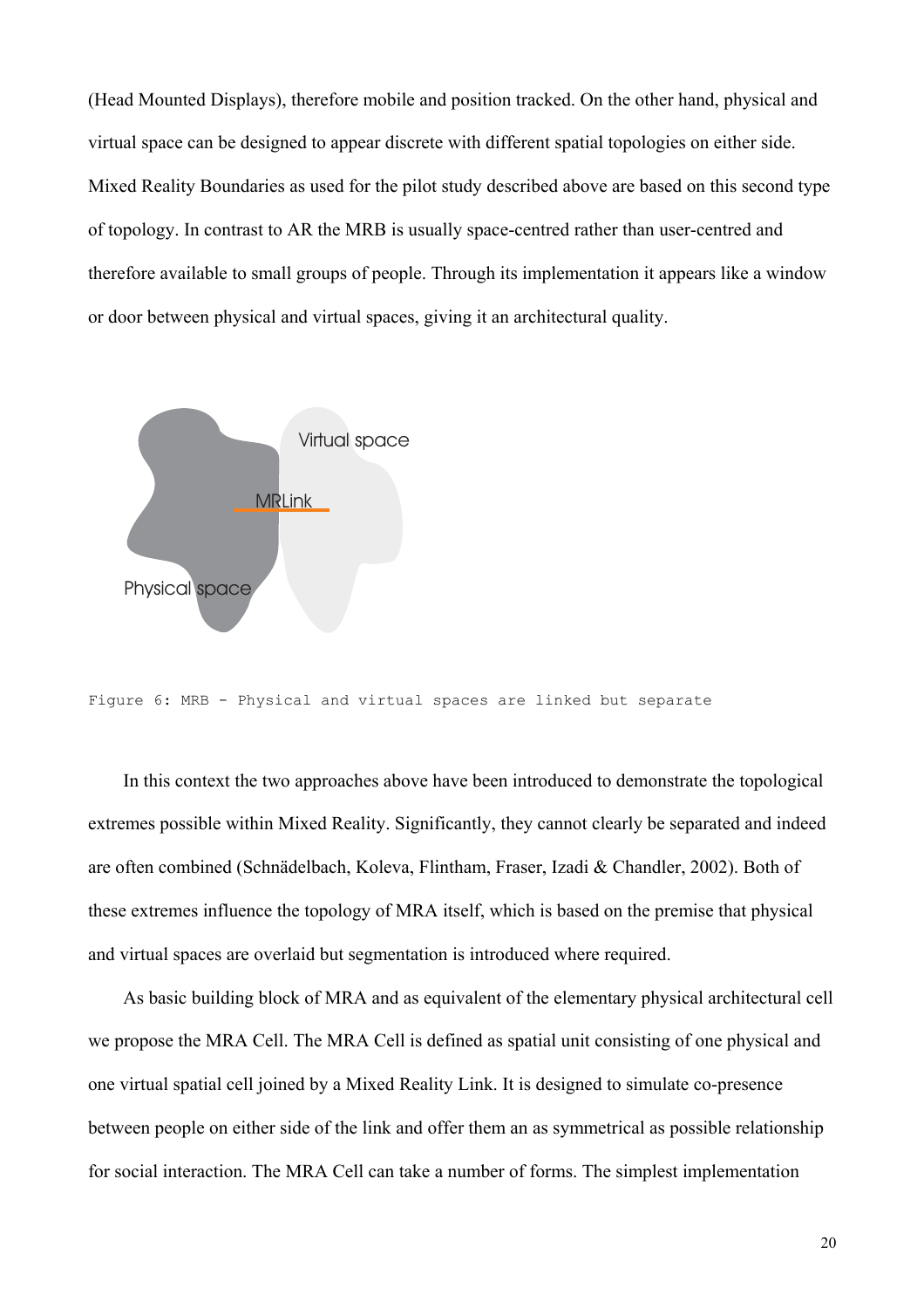(Head Mounted Displays), therefore mobile and position tracked. On the other hand, physical and virtual space can be designed to appear discrete with different spatial topologies on either side. Mixed Reality Boundaries as used for the pilot study described above are based on this second type of topology. In contrast to AR the MRB is usually space-centred rather than user-centred and therefore available to small groups of people. Through its implementation it appears like a window or door between physical and virtual spaces, giving it an architectural quality.



Figure 6: MRB - Physical and virtual spaces are linked but separate

In this context the two approaches above have been introduced to demonstrate the topological extremes possible within Mixed Reality. Significantly, they cannot clearly be separated and indeed are often combined (Schnädelbach, Koleva, Flintham, Fraser, Izadi & Chandler, 2002). Both of these extremes influence the topology of MRA itself, which is based on the premise that physical and virtual spaces are overlaid but segmentation is introduced where required.

As basic building block of MRA and as equivalent of the elementary physical architectural cell we propose the MRA Cell. The MRA Cell is defined as spatial unit consisting of one physical and one virtual spatial cell joined by a Mixed Reality Link. It is designed to simulate co-presence between people on either side of the link and offer them an as symmetrical as possible relationship for social interaction. The MRA Cell can take a number of forms. The simplest implementation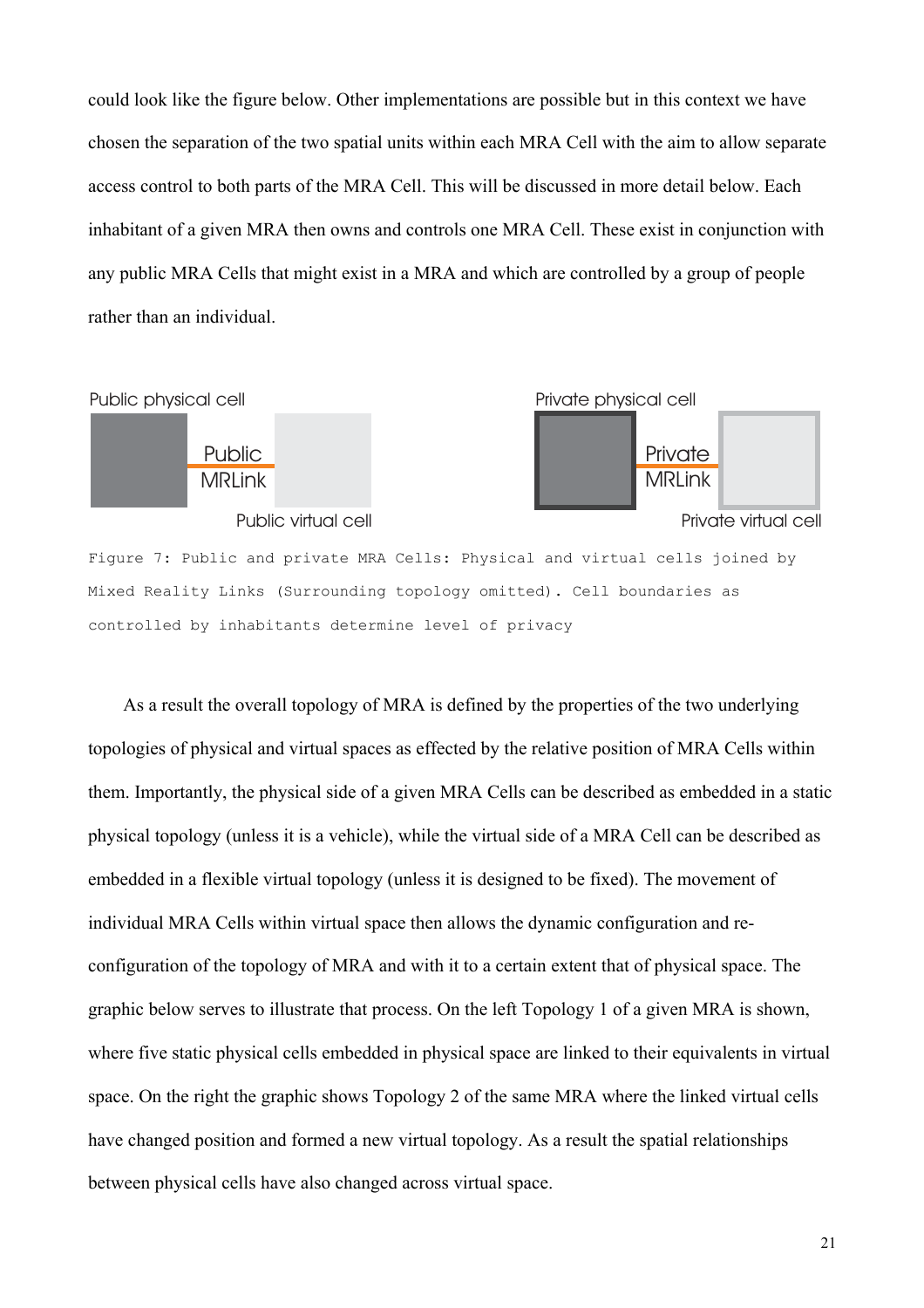could look like the figure below. Other implementations are possible but in this context we have chosen the separation of the two spatial units within each MRA Cell with the aim to allow separate access control to both parts of the MRA Cell. This will be discussed in more detail below. Each inhabitant of a given MRA then owns and controls one MRA Cell. These exist in conjunction with any public MRA Cells that might exist in a MRA and which are controlled by a group of people rather than an individual.



Mixed Reality Links (Surrounding topology omitted). Cell boundaries as controlled by inhabitants determine level of privacy

As a result the overall topology of MRA is defined by the properties of the two underlying topologies of physical and virtual spaces as effected by the relative position of MRA Cells within them. Importantly, the physical side of a given MRA Cells can be described as embedded in a static physical topology (unless it is a vehicle), while the virtual side of a MRA Cell can be described as embedded in a flexible virtual topology (unless it is designed to be fixed). The movement of individual MRA Cells within virtual space then allows the dynamic configuration and reconfiguration of the topology of MRA and with it to a certain extent that of physical space. The graphic below serves to illustrate that process. On the left Topology 1 of a given MRA is shown, where five static physical cells embedded in physical space are linked to their equivalents in virtual space. On the right the graphic shows Topology 2 of the same MRA where the linked virtual cells have changed position and formed a new virtual topology. As a result the spatial relationships between physical cells have also changed across virtual space.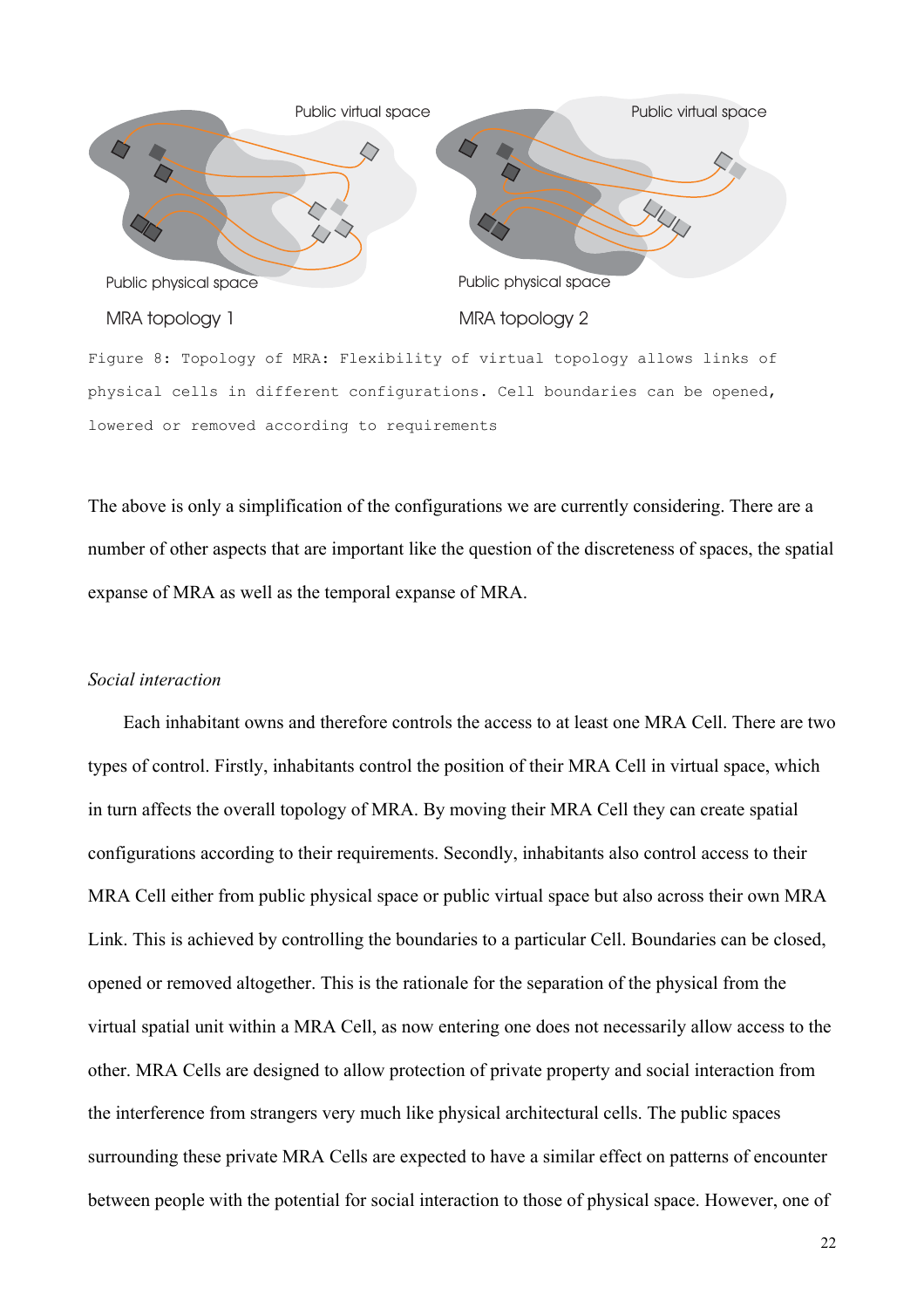

The above is only a simplification of the configurations we are currently considering. There are a number of other aspects that are important like the question of the discreteness of spaces, the spatial expanse of MRA as well as the temporal expanse of MRA.

#### *Social interaction*

Each inhabitant owns and therefore controls the access to at least one MRA Cell. There are two types of control. Firstly, inhabitants control the position of their MRA Cell in virtual space, which in turn affects the overall topology of MRA. By moving their MRA Cell they can create spatial configurations according to their requirements. Secondly, inhabitants also control access to their MRA Cell either from public physical space or public virtual space but also across their own MRA Link. This is achieved by controlling the boundaries to a particular Cell. Boundaries can be closed, opened or removed altogether. This is the rationale for the separation of the physical from the virtual spatial unit within a MRA Cell, as now entering one does not necessarily allow access to the other. MRA Cells are designed to allow protection of private property and social interaction from the interference from strangers very much like physical architectural cells. The public spaces surrounding these private MRA Cells are expected to have a similar effect on patterns of encounter between people with the potential for social interaction to those of physical space. However, one of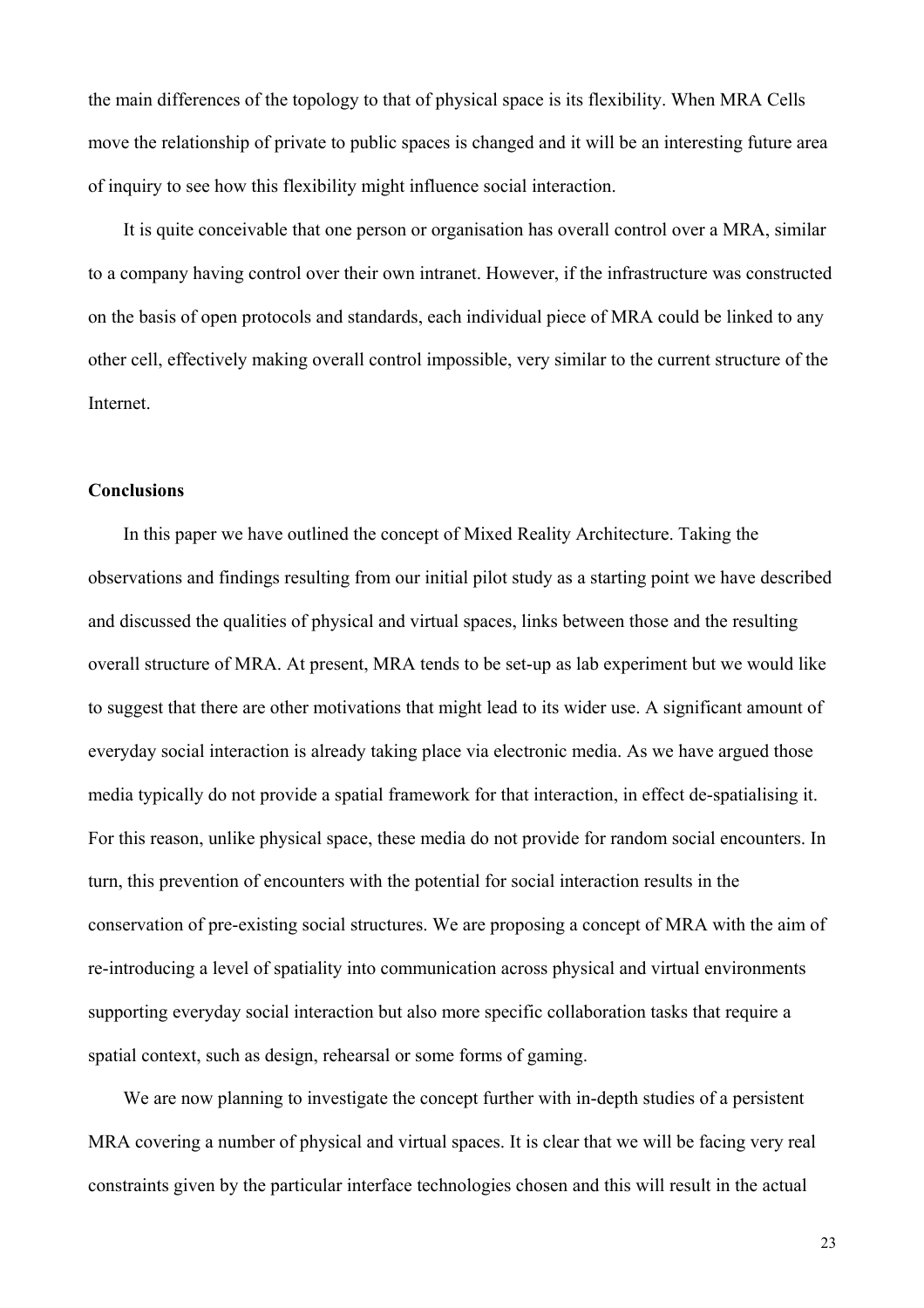the main differences of the topology to that of physical space is its flexibility. When MRA Cells move the relationship of private to public spaces is changed and it will be an interesting future area of inquiry to see how this flexibility might influence social interaction.

It is quite conceivable that one person or organisation has overall control over a MRA, similar to a company having control over their own intranet. However, if the infrastructure was constructed on the basis of open protocols and standards, each individual piece of MRA could be linked to any other cell, effectively making overall control impossible, very similar to the current structure of the Internet.

## **Conclusions**

In this paper we have outlined the concept of Mixed Reality Architecture. Taking the observations and findings resulting from our initial pilot study as a starting point we have described and discussed the qualities of physical and virtual spaces, links between those and the resulting overall structure of MRA. At present, MRA tends to be set-up as lab experiment but we would like to suggest that there are other motivations that might lead to its wider use. A significant amount of everyday social interaction is already taking place via electronic media. As we have argued those media typically do not provide a spatial framework for that interaction, in effect de-spatialising it. For this reason, unlike physical space, these media do not provide for random social encounters. In turn, this prevention of encounters with the potential for social interaction results in the conservation of pre-existing social structures. We are proposing a concept of MRA with the aim of re-introducing a level of spatiality into communication across physical and virtual environments supporting everyday social interaction but also more specific collaboration tasks that require a spatial context, such as design, rehearsal or some forms of gaming.

We are now planning to investigate the concept further with in-depth studies of a persistent MRA covering a number of physical and virtual spaces. It is clear that we will be facing very real constraints given by the particular interface technologies chosen and this will result in the actual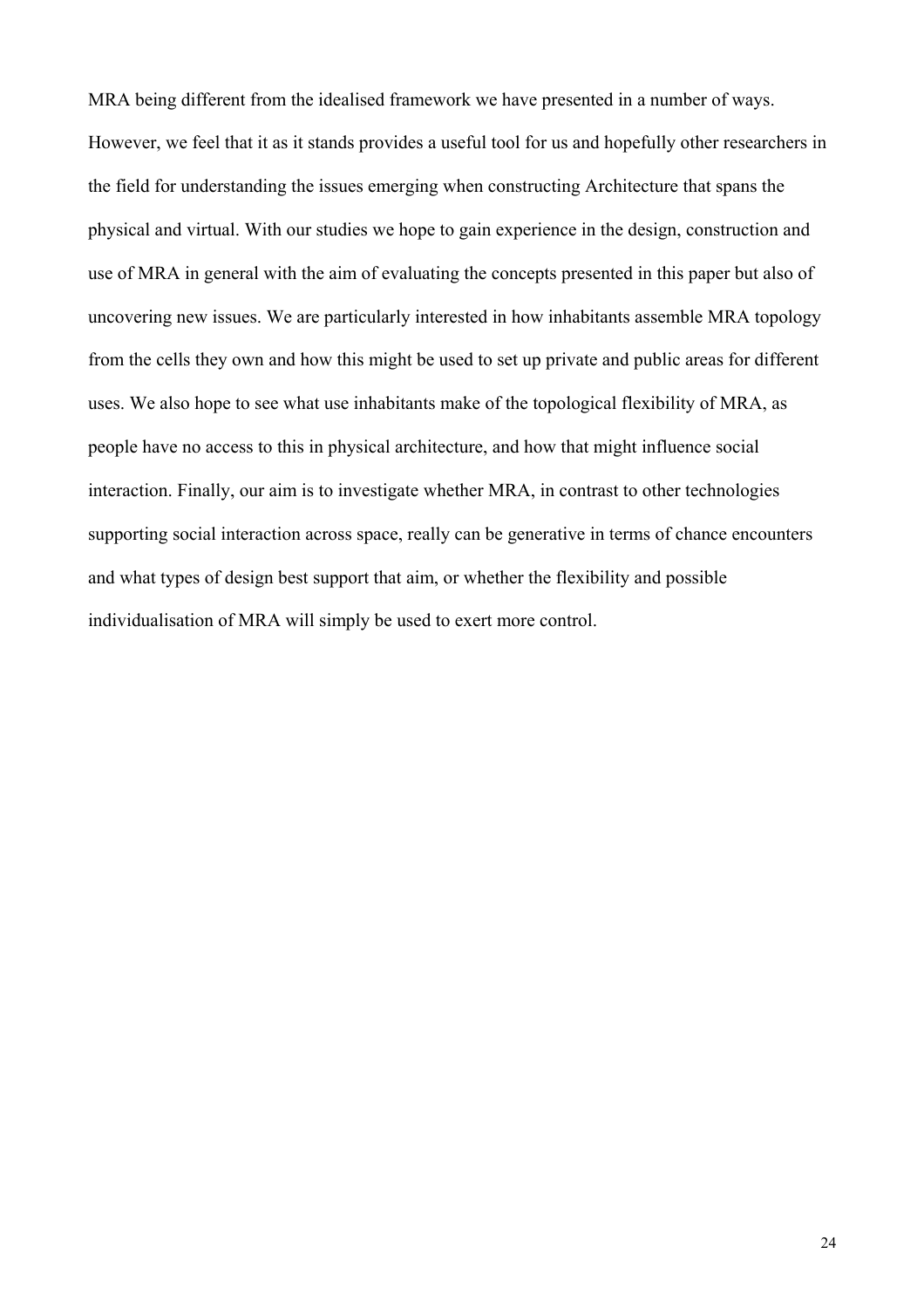MRA being different from the idealised framework we have presented in a number of ways. However, we feel that it as it stands provides a useful tool for us and hopefully other researchers in the field for understanding the issues emerging when constructing Architecture that spans the physical and virtual. With our studies we hope to gain experience in the design, construction and use of MRA in general with the aim of evaluating the concepts presented in this paper but also of uncovering new issues. We are particularly interested in how inhabitants assemble MRA topology from the cells they own and how this might be used to set up private and public areas for different uses. We also hope to see what use inhabitants make of the topological flexibility of MRA, as people have no access to this in physical architecture, and how that might influence social interaction. Finally, our aim is to investigate whether MRA, in contrast to other technologies supporting social interaction across space, really can be generative in terms of chance encounters and what types of design best support that aim, or whether the flexibility and possible individualisation of MRA will simply be used to exert more control.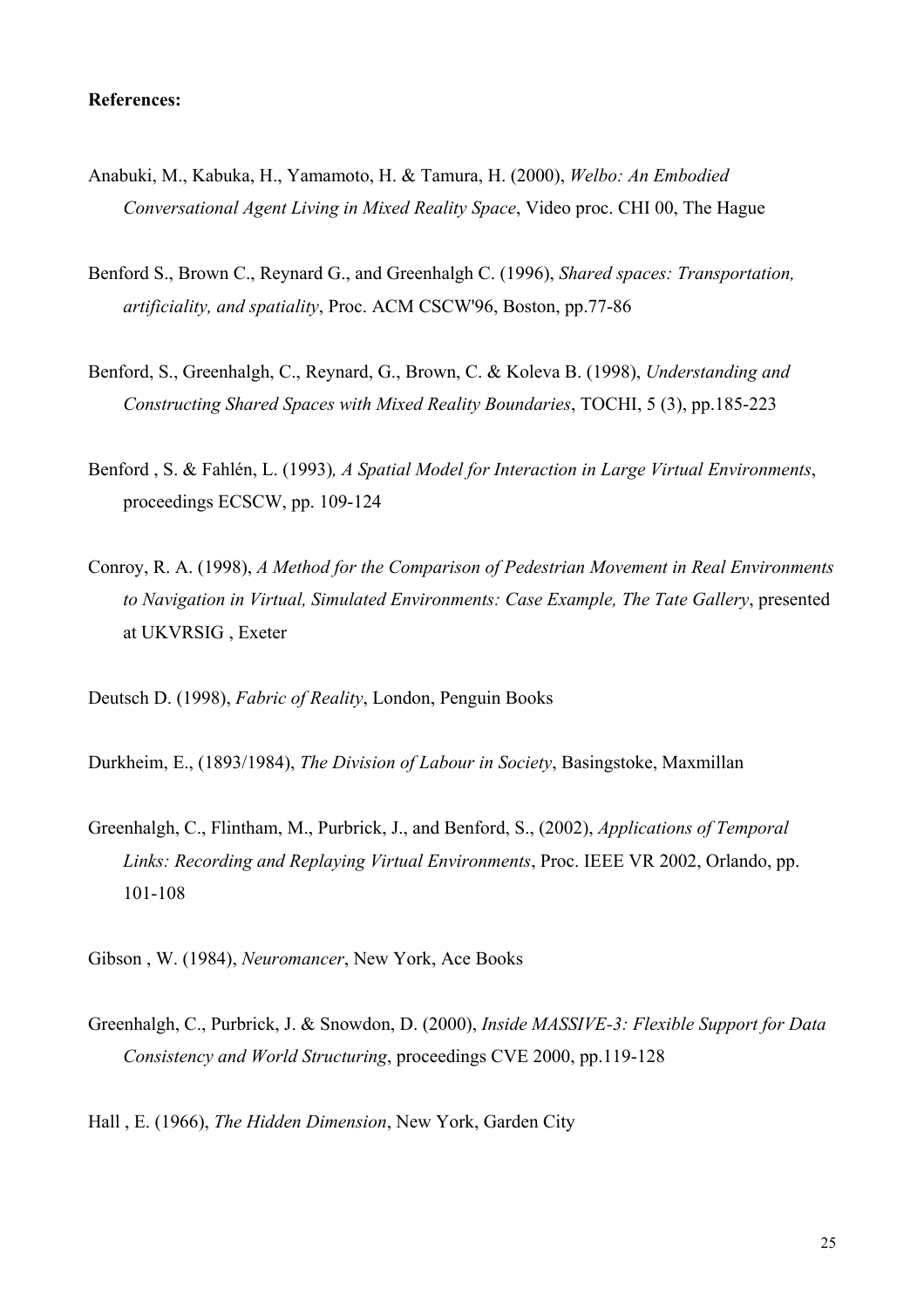#### **References:**

- Anabuki, M., Kabuka, H., Yamamoto, H. & Tamura, H. (2000), *Welbo: An Embodied Conversational Agent Living in Mixed Reality Space*, Video proc. CHI 00, The Hague
- Benford S., Brown C., Reynard G., and Greenhalgh C. (1996), *Shared spaces: Transportation, artificiality, and spatiality*, Proc. ACM CSCW'96, Boston, pp.77-86
- Benford, S., Greenhalgh, C., Reynard, G., Brown, C. & Koleva B. (1998), *Understanding and Constructing Shared Spaces with Mixed Reality Boundaries*, TOCHI, 5 (3), pp.185-223
- Benford , S. & Fahlén, L. (1993)*, A Spatial Model for Interaction in Large Virtual Environments*, proceedings ECSCW, pp. 109-124
- Conroy, R. A. (1998), *A Method for the Comparison of Pedestrian Movement in Real Environments to Navigation in Virtual, Simulated Environments: Case Example, The Tate Gallery*, presented at UKVRSIG , Exeter

Deutsch D. (1998), *Fabric of Reality*, London, Penguin Books

Durkheim, E., (1893/1984), *The Division of Labour in Society*, Basingstoke, Maxmillan

Greenhalgh, C., Flintham, M., Purbrick, J., and Benford, S., (2002), *Applications of Temporal Links: Recording and Replaying Virtual Environments*, Proc. IEEE VR 2002, Orlando, pp. 101-108

Gibson , W. (1984), *Neuromancer*, New York, Ace Books

Greenhalgh, C., Purbrick, J. & Snowdon, D. (2000), *Inside MASSIVE-3: Flexible Support for Data Consistency and World Structuring*, proceedings CVE 2000, pp.119-128

Hall , E. (1966), *The Hidden Dimension*, New York, Garden City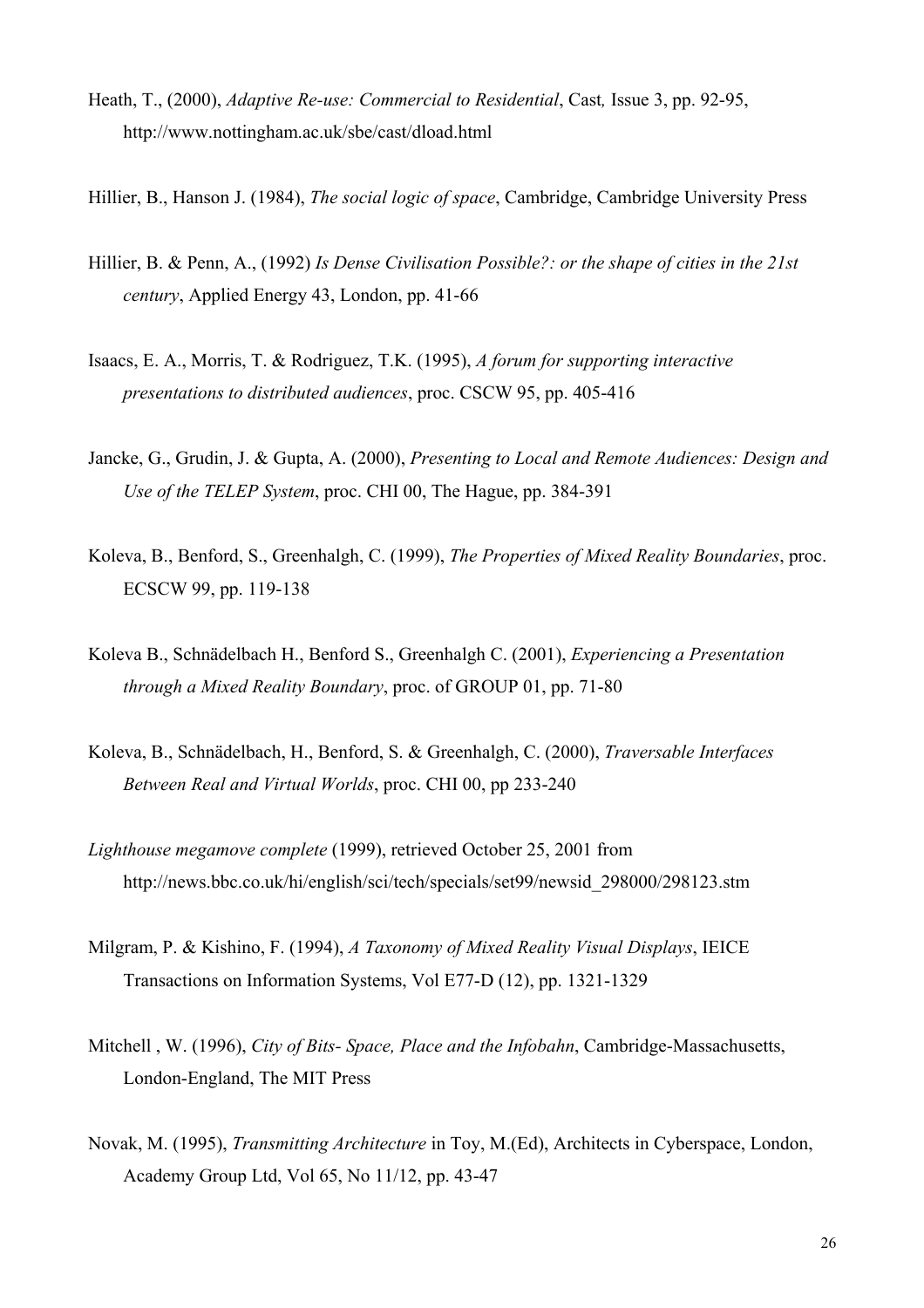- Heath, T., (2000), *Adaptive Re-use: Commercial to Residential*, Cast*,* Issue 3, pp. 92-95, http://www.nottingham.ac.uk/sbe/cast/dload.html
- Hillier, B., Hanson J. (1984), *The social logic of space*, Cambridge, Cambridge University Press
- Hillier, B. & Penn, A., (1992) *Is Dense Civilisation Possible?: or the shape of cities in the 21st century*, Applied Energy 43, London, pp. 41-66
- Isaacs, E. A., Morris, T. & Rodriguez, T.K. (1995), *A forum for supporting interactive presentations to distributed audiences*, proc. CSCW 95, pp. 405-416
- Jancke, G., Grudin, J. & Gupta, A. (2000), *Presenting to Local and Remote Audiences: Design and Use of the TELEP System*, proc. CHI 00, The Hague, pp. 384-391
- Koleva, B., Benford, S., Greenhalgh, C. (1999), *The Properties of Mixed Reality Boundaries*, proc. ECSCW 99, pp. 119-138
- Koleva B., Schnädelbach H., Benford S., Greenhalgh C. (2001), *Experiencing a Presentation through a Mixed Reality Boundary*, proc. of GROUP 01, pp. 71-80
- Koleva, B., Schnädelbach, H., Benford, S. & Greenhalgh, C. (2000), *Traversable Interfaces Between Real and Virtual Worlds*, proc. CHI 00, pp 233-240
- *Lighthouse megamove complete* (1999), retrieved October 25, 2001 from http://news.bbc.co.uk/hi/english/sci/tech/specials/set99/newsid\_298000/298123.stm
- Milgram, P. & Kishino, F. (1994), *A Taxonomy of Mixed Reality Visual Displays*, IEICE Transactions on Information Systems, Vol E77-D (12), pp. 1321-1329
- Mitchell , W. (1996), *City of Bits- Space, Place and the Infobahn*, Cambridge-Massachusetts, London-England, The MIT Press
- Novak, M. (1995), *Transmitting Architecture* in Toy, M.(Ed), Architects in Cyberspace, London, Academy Group Ltd, Vol 65, No 11/12, pp. 43-47